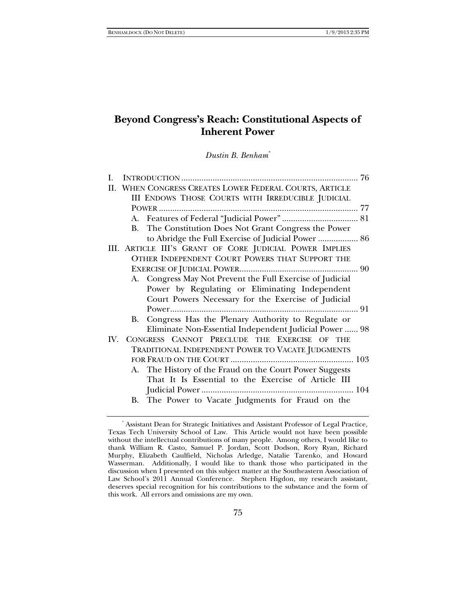# **Beyond Congress's Reach: Constitutional Aspects of Inherent Power**

*Dustin B. Benham\**

| I. |                                                           |  |
|----|-----------------------------------------------------------|--|
| П. | WHEN CONGRESS CREATES LOWER FEDERAL COURTS, ARTICLE       |  |
|    | III ENDOWS THOSE COURTS WITH IRREDUCIBLE JUDICIAL         |  |
|    |                                                           |  |
|    |                                                           |  |
|    | B. The Constitution Does Not Grant Congress the Power     |  |
|    | to Abridge the Full Exercise of Judicial Power  86        |  |
|    | III. ARTICLE III'S GRANT OF CORE JUDICIAL POWER IMPLIES   |  |
|    | OTHER INDEPENDENT COURT POWERS THAT SUPPORT THE           |  |
|    |                                                           |  |
|    | A. Congress May Not Prevent the Full Exercise of Judicial |  |
|    | Power by Regulating or Eliminating Independent            |  |
|    | Court Powers Necessary for the Exercise of Judicial       |  |
|    |                                                           |  |
|    | B. Congress Has the Plenary Authority to Regulate or      |  |
|    | Eliminate Non-Essential Independent Judicial Power  98    |  |
|    | IV. CONGRESS CANNOT PRECLUDE THE EXERCISE OF THE          |  |
|    | TRADITIONAL INDEPENDENT POWER TO VACATE JUDGMENTS         |  |
|    |                                                           |  |
|    | A. The History of the Fraud on the Court Power Suggests   |  |
|    | That It Is Essential to the Exercise of Article III       |  |
|    |                                                           |  |
|    | B. The Power to Vacate Judgments for Fraud on the         |  |

<sup>\*</sup> Assistant Dean for Strategic Initiatives and Assistant Professor of Legal Practice, Texas Tech University School of Law. This Article would not have been possible without the intellectual contributions of many people. Among others, I would like to thank William R. Casto, Samuel P. Jordan, Scott Dodson, Rory Ryan, Richard Murphy, Elizabeth Caulfield, Nicholas Arledge, Natalie Tarenko, and Howard Wasserman. Additionally, I would like to thank those who participated in the discussion when I presented on this subject matter at the Southeastern Association of Law School's 2011 Annual Conference. Stephen Higdon, my research assistant, deserves special recognition for his contributions to the substance and the form of this work. All errors and omissions are my own.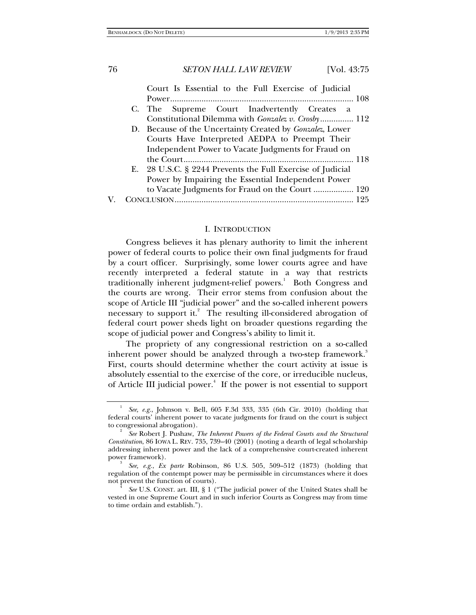|  | Court Is Essential to the Full Exercise of Judicial        |
|--|------------------------------------------------------------|
|  | C. The Supreme Court Inadvertently Creates a               |
|  | Constitutional Dilemma with Gonzalez v. Crosby 112         |
|  | D. Because of the Uncertainty Created by Gonzalez, Lower   |
|  | Courts Have Interpreted AEDPA to Preempt Their             |
|  | Independent Power to Vacate Judgments for Fraud on         |
|  |                                                            |
|  | E. 28 U.S.C. § 2244 Prevents the Full Exercise of Judicial |
|  | Power by Impairing the Essential Independent Power         |
|  | to Vacate Judgments for Fraud on the Court  120            |
|  |                                                            |

#### I. INTRODUCTION

Congress believes it has plenary authority to limit the inherent power of federal courts to police their own final judgments for fraud by a court officer. Surprisingly, some lower courts agree and have recently interpreted a federal statute in a way that restricts traditionally inherent judgment-relief powers.<sup>1</sup> Both Congress and the courts are wrong. Their error stems from confusion about the scope of Article III "judicial power" and the so-called inherent powers necessary to support it.<sup>2</sup> The resulting ill-considered abrogation of federal court power sheds light on broader questions regarding the scope of judicial power and Congress's ability to limit it.

The propriety of any congressional restriction on a so-called inherent power should be analyzed through a two-step framework.<sup>3</sup> First, courts should determine whether the court activity at issue is absolutely essential to the exercise of the core, or irreducible nucleus, of Article III judicial power.<sup>4</sup> If the power is not essential to support

<sup>1</sup> *See, e.g.*, Johnson v. Bell, 605 F.3d 333, 335 (6th Cir. 2010) (holding that federal courts' inherent power to vacate judgments for fraud on the court is subject to congressional abrogation).

*See* Robert J. Pushaw, *The Inherent Powers of the Federal Courts and the Structural Constitution*, 86 IOWA L. REV. 735, 739–40 (2001) (noting a dearth of legal scholarship addressing inherent power and the lack of a comprehensive court-created inherent power framework).

*See, e.g.*, *Ex parte* Robinson, 86 U.S. 505, 509–512 (1873) (holding that regulation of the contempt power may be permissible in circumstances where it does not prevent the function of courts). 4

*See* U.S. CONST. art. III, § 1 ("The judicial power of the United States shall be vested in one Supreme Court and in such inferior Courts as Congress may from time to time ordain and establish.").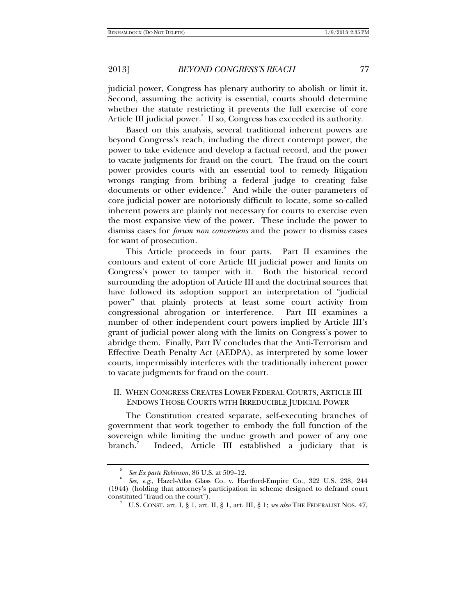judicial power, Congress has plenary authority to abolish or limit it. Second, assuming the activity is essential, courts should determine whether the statute restricting it prevents the full exercise of core Article III judicial power.<sup>5</sup> If so, Congress has exceeded its authority.

Based on this analysis, several traditional inherent powers are beyond Congress's reach, including the direct contempt power, the power to take evidence and develop a factual record, and the power to vacate judgments for fraud on the court. The fraud on the court power provides courts with an essential tool to remedy litigation wrongs ranging from bribing a federal judge to creating false documents or other evidence. And while the outer parameters of core judicial power are notoriously difficult to locate, some so-called inherent powers are plainly not necessary for courts to exercise even the most expansive view of the power. These include the power to dismiss cases for *forum non conveniens* and the power to dismiss cases for want of prosecution.

This Article proceeds in four parts. Part II examines the contours and extent of core Article III judicial power and limits on Congress's power to tamper with it. Both the historical record surrounding the adoption of Article III and the doctrinal sources that have followed its adoption support an interpretation of "judicial power" that plainly protects at least some court activity from congressional abrogation or interference. Part III examines a number of other independent court powers implied by Article III's grant of judicial power along with the limits on Congress's power to abridge them. Finally, Part IV concludes that the Anti-Terrorism and Effective Death Penalty Act (AEDPA), as interpreted by some lower courts, impermissibly interferes with the traditionally inherent power to vacate judgments for fraud on the court.

# II. WHEN CONGRESS CREATES LOWER FEDERAL COURTS, ARTICLE III ENDOWS THOSE COURTS WITH IRREDUCIBLE JUDICIAL POWER

The Constitution created separate, self-executing branches of government that work together to embody the full function of the sovereign while limiting the undue growth and power of any one branch.<sup>7</sup> Indeed, Article III established a judiciary that is

<sup>5</sup> *See Ex parte Robinson*, 86 U.S. at 509–12. 6

*See, e.g.*, Hazel-Atlas Glass Co. v. Hartford-Empire Co., 322 U.S. 238, 244 (1944) (holding that attorney's participation in scheme designed to defraud court constituted "fraud on the court").

U.S. CONST. art. I, § 1, art. II, § 1, art. III, § 1; *see also* THE FEDERALIST NOS. 47,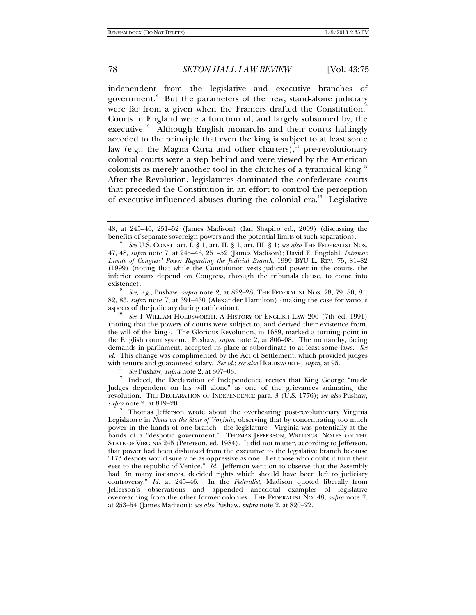independent from the legislative and executive branches of government.<sup>8</sup> But the parameters of the new, stand-alone judiciary were far from a given when the Framers drafted the Constitution.<sup>9</sup> Courts in England were a function of, and largely subsumed by, the executive.<sup>10</sup> Although English monarchs and their courts haltingly acceded to the principle that even the king is subject to at least some law (e.g., the Magna Carta and other charters), $\frac{11}{1}$  pre-revolutionary colonial courts were a step behind and were viewed by the American colonists as merely another tool in the clutches of a tyrannical king. $12$ After the Revolution, legislatures dominated the confederate courts that preceded the Constitution in an effort to control the perception of executive-influenced abuses during the colonial era.<sup>13</sup> Legislative

 *See, e.g.*, Pushaw, *supra* note 2, at 822–28; THE FEDERALIST NOS. 78, 79, 80, 81, 82, 83, *supra* note 7, at 391–430 (Alexander Hamilton) (making the case for various aspects of the judiciary during ratification).

 *See* 1 WILLIAM HOLDSWORTH, A HISTORY OF ENGLISH LAW 206 (7th ed. 1991) (noting that the powers of courts were subject to, and derived their existence from, the will of the king). The Glorious Revolution, in 1689, marked a turning point in the English court system. Pushaw, *supra* note 2, at 806–08. The monarchy, facing demands in parliament, accepted its place as subordinate to at least some laws. *See id.* This change was complimented by the Act of Settlement, which provided judges with tenure and guaranteed salary. See id.; see also HOLDSWORTH, supra, at 95.

<sup>11</sup> *See* Pushaw, *supra* note 2, at 807–08.<br><sup>12</sup> Indeed, the Declaration of Independence recites that King George "made Judges dependent on his will alone" as one of the grievances animating the revolution. THE DECLARATION OF INDEPENDENCE para. 3 (U.S. 1776); *see also* Pushaw, *supra* note 2, at 819–20.<br><sup>13</sup> Thomas Jefferson wrote about the overbearing post-revolutionary Virginia

Legislature in *Notes on the State of Virginia*, observing that by concentrating too much power in the hands of one branch—the legislature—Virginia was potentially at the hands of a "despotic government." THOMAS JEFFERSON, WRITINGS: NOTES ON THE STATE OF VIRGINIA 245 (Peterson, ed. 1984). It did not matter, according to Jefferson, that power had been disbursed from the executive to the legislative branch because "173 despots would surely be as oppressive as one. Let those who doubt it turn their eyes to the republic of Venice." *Id.* Jefferson went on to observe that the Assembly had "in many instances, decided rights which should have been left to judiciary controversy." *Id.* at 245–46. In the *Federalist*, Madison quoted liberally from Jefferson's observations and appended anecdotal examples of legislative overreaching from the other former colonies. THE FEDERALIST NO. 48, *supra* note 7, at 253–54 (James Madison); *see also* Pushaw, *supra* note 2, at 820–22.

<sup>48,</sup> at 245–46, 251–52 (James Madison) (Ian Shapiro ed., 2009) (discussing the benefits of separate sovereign powers and the potential limits of such separation).

*See* U.S. CONST. art. I, § 1, art. II, § 1, art. III, § 1; *see also* THE FEDERALIST NOS. 47, 48, *supra* note 7, at 245–46, 251–52 (James Madison); David E. Engdahl, *Intrinsic Limits of Congress' Power Regarding the Judicial Branch*, 1999 BYU L. REV. 75, 81–82 (1999) (noting that while the Constitution vests judicial power in the courts, the inferior courts depend on Congress, through the tribunals clause, to come into existence).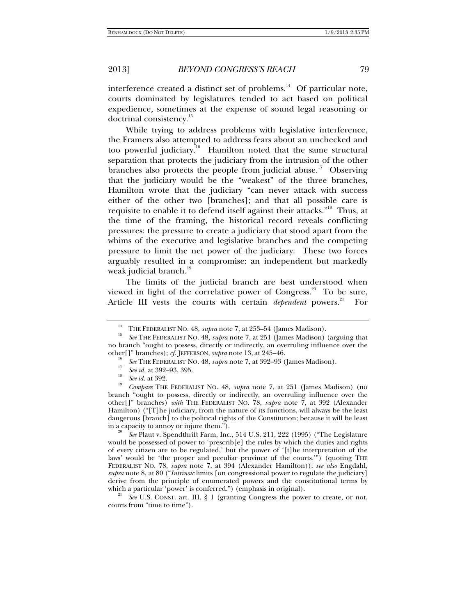interference created a distinct set of problems.<sup>14</sup> Of particular note, courts dominated by legislatures tended to act based on political expedience, sometimes at the expense of sound legal reasoning or doctrinal consistency.<sup>15</sup>

While trying to address problems with legislative interference, the Framers also attempted to address fears about an unchecked and too powerful judiciary.<sup>16</sup> Hamilton noted that the same structural separation that protects the judiciary from the intrusion of the other branches also protects the people from judicial abuse.<sup>17</sup> Observing that the judiciary would be the "weakest" of the three branches, Hamilton wrote that the judiciary "can never attack with success either of the other two [branches]; and that all possible care is requisite to enable it to defend itself against their attacks."18 Thus, at the time of the framing, the historical record reveals conflicting pressures: the pressure to create a judiciary that stood apart from the whims of the executive and legislative branches and the competing pressure to limit the net power of the judiciary. These two forces arguably resulted in a compromise: an independent but markedly weak judicial branch. $19$ 

The limits of the judicial branch are best understood when viewed in light of the correlative power of Congress.<sup>20</sup> To be sure, Article III vests the courts with certain *dependent* powers.<sup>21</sup> For

 *See* Plaut v. Spendthrift Farm, Inc., 514 U.S. 211, 222 (1995) ("The Legislature would be possessed of power to 'prescrib $[e]$  the rules by which the duties and rights of every citizen are to be regulated,' but the power of '[t]he interpretation of the laws' would be 'the proper and peculiar province of the courts.'") (quoting THE FEDERALIST NO. 78, *supra* note 7, at 394 (Alexander Hamilton)); *see also* Engdahl, *supra* note 8, at 80 ("*Intrinsic* limits [on congressional power to regulate the judiciary] derive from the principle of enumerated powers and the constitutional terms by which a particular 'power' is conferred.") (emphasis in original).

See U.S. CONST. art. III, § 1 (granting Congress the power to create, or not, courts from "time to time").

<sup>&</sup>lt;sup>14</sup> THE FEDERALIST NO. 48, *supra* note 7, at 253–54 (James Madison).<br><sup>15</sup> *See* THE FEDERALIST NO. 48, *supra* note 7, at 251 (James Madison) (arguing that no branch "ought to possess, directly or indirectly, an overruling influence over the other[]" branches); *cf.* JEFFERSON, *supra* note 13, at 245-46.

<sup>&</sup>lt;sup>10</sup> *See* THE FEDERALIST NO. 48, *supra* note 7, at 392–93 (James Madison).

<sup>&</sup>lt;sup>17</sup> *See id.* at 392–93, 395.<br><sup>18</sup> *See id.* at 392.

*Compare* THE FEDERALIST NO. 48, *supra* note 7, at 251 (James Madison) (no branch "ought to possess, directly or indirectly, an overruling influence over the other[]" branches) *with* THE FEDERALIST NO. 78, *supra* note 7, at 392 (Alexander Hamilton) ("[T]he judiciary, from the nature of its functions, will always be the least dangerous [branch] to the political rights of the Constitution; because it will be least in a capacity to annoy or injure them." $\overline{)}$ .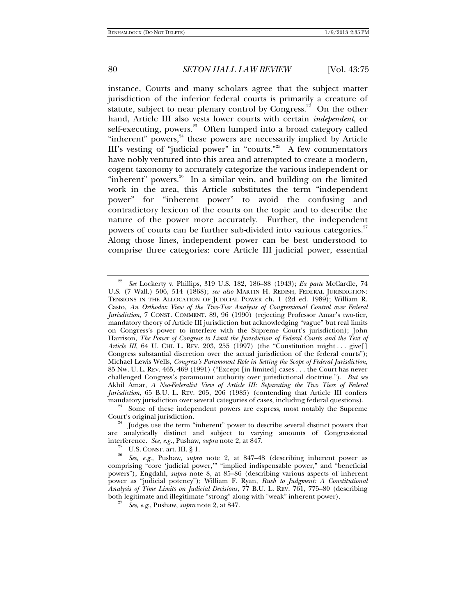instance, Courts and many scholars agree that the subject matter jurisdiction of the inferior federal courts is primarily a creature of statute, subject to near plenary control by Congress.<sup>22</sup> On the other hand, Article III also vests lower courts with certain *independent*, or self-executing, powers.<sup>23</sup> Often lumped into a broad category called "inherent" powers, $24$  these powers are necessarily implied by Article III's vesting of "judicial power" in "courts."25 A few commentators have nobly ventured into this area and attempted to create a modern, cogent taxonomy to accurately categorize the various independent or "inherent" powers. $26$  In a similar vein, and building on the limited work in the area, this Article substitutes the term "independent power" for "inherent power" to avoid the confusing and contradictory lexicon of the courts on the topic and to describe the nature of the power more accurately. Further, the independent powers of courts can be further sub-divided into various categories.<sup>27</sup> Along those lines, independent power can be best understood to comprise three categories: core Article III judicial power, essential

<sup>22</sup> *See* Lockerty v. Phillips, 319 U.S. 182, 186–88 (1943); *Ex parte* McCardle, 74 U.S. (7 Wall.) 506, 514 (1868); *see also* MARTIN H. REDISH, FEDERAL JURISDICTION: TENSIONS IN THE ALLOCATION OF JUDICIAL POWER ch. 1 (2d ed. 1989); William R. Casto, *An Orthodox View of the Two-Tier Analysis of Congressional Control over Federal Jurisdiction*, 7 CONST. COMMENT. 89, 96 (1990) (rejecting Professor Amar's two-tier, mandatory theory of Article III jurisdiction but acknowledging "vague" but real limits on Congress's power to interfere with the Supreme Court's jurisdiction); John Harrison, *The Power of Congress to Limit the Jurisdiction of Federal Courts and the Text of Article III*, 64 U. CHI. L. REV. 203, 255 (1997) (the "Constitution might . . . give [] Congress substantial discretion over the actual jurisdiction of the federal courts"); Michael Lewis Wells, *Congress's Paramount Role in Setting the Scope of Federal Jurisdiction*, 85 NW. U. L. REV. 465, 469 (1991) ("Except [in limited] cases . . . the Court has never challenged Congress's paramount authority over jurisdictional doctrine."). *But see*  Akhil Amar, *A Neo-Federalist View of Article III: Separating the Two Tiers of Federal Jurisdiction*, 65 B.U. L. REV. 205, 206 (1985) (contending that Article III confers mandatory jurisdiction over several categories of cases, including federal questions).

 $\frac{23}{3}$  Some of these independent powers are express, most notably the Supreme Court's original jurisdiction.

Judges use the term "inherent" power to describe several distinct powers that are analytically distinct and subject to varying amounts of Congressional interference. *See, e.g.*, Pushaw, *supra* note 2, at 847.<br><sup>25</sup> U.S. CONST. art. III, § 1.

*See, e.g.*, Pushaw, *supra* note 2, at 847–48 (describing inherent power as comprising "core 'judicial power,'" "implied indispensable power," and "beneficial powers"); Engdahl, *supra* note 8, at 85–86 (describing various aspects of inherent power as "judicial potency"); William F. Ryan, *Rush to Judgment: A Constitutional Analysis of Time Limits on Judicial Decisions*, 77 B.U. L. REV. 761, 775–80 (describing both legitimate and illegitimate "strong" along with "weak" inherent power).

*See, e.g.*, Pushaw, *supra* note 2, at 847.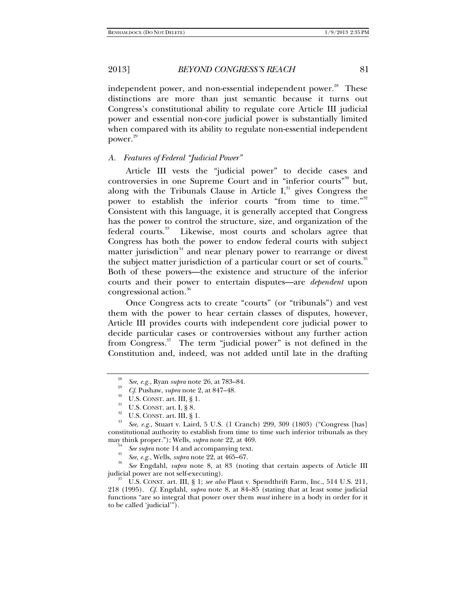independent power, and non-essential independent power.<sup>28</sup> These distinctions are more than just semantic because it turns out Congress's constitutional ability to regulate core Article III judicial power and essential non-core judicial power is substantially limited when compared with its ability to regulate non-essential independent power.<sup>29</sup>

#### *A. Features of Federal "Judicial Power"*

Article III vests the "judicial power" to decide cases and controversies in one Supreme Court and in "inferior courts"<sup>30</sup> but, along with the Tribunals Clause in Article  $I<sub>1</sub><sup>31</sup>$  gives Congress the power to establish the inferior courts "from time to time."<sup>32</sup> Consistent with this language, it is generally accepted that Congress has the power to control the structure, size, and organization of the federal courts.<sup>33</sup> Likewise, most courts and scholars agree that Congress has both the power to endow federal courts with subject matter jurisdiction<sup>34</sup> and near plenary power to rearrange or divest the subject matter jurisdiction of a particular court or set of courts.<sup>35</sup> Both of these powers—the existence and structure of the inferior courts and their power to entertain disputes—are *dependent* upon congressional action.<sup>36</sup>

Once Congress acts to create "courts" (or "tribunals") and vest them with the power to hear certain classes of disputes, however, Article III provides courts with independent core judicial power to decide particular cases or controversies without any further action from Congress.<sup>37</sup> The term "judicial power" is not defined in the Constitution and, indeed, was not added until late in the drafting

*See* Engdahl, *supra* note 8, at 83 (noting that certain aspects of Article III

judicial power are not self-executing). 37 U.S. CONST. art. III, § 1; *see also* Plaut v. Spendthrift Farm, Inc., 514 U.S. 211, 218 (1995). *Cf*. Engdahl, *supra* note 8, at 84–85 (stating that at least some judicial functions "are so integral that power over them *must* inhere in a body in order for it to be called 'judicial'").

<sup>&</sup>lt;sup>28</sup> See, e.g., Ryan supra note 26, at 783–84.<br>
<sup>29</sup> Cf. Pushaw, supra note 2, at 847–48.<br>
<sup>30</sup> U.S. CONST. art. II, § 1.<br>
<sup>31</sup> U.S. CONST. art. II, § 8.<br>
<sup>32</sup> U.S. CONST. art. III, § 1.<br>
<sup>33</sup> Eee, e.g., Stuart v. Laird, constitutional authority to establish from time to time such inferior tribunals as they

may think proper."); Wells, *supra* note 22, at 469.<br><sup>34</sup> See supra note 14 and accompanying text.

<sup>&</sup>lt;sup>35</sup> See, e.g., Wells, *supra* note 22, at 465–67.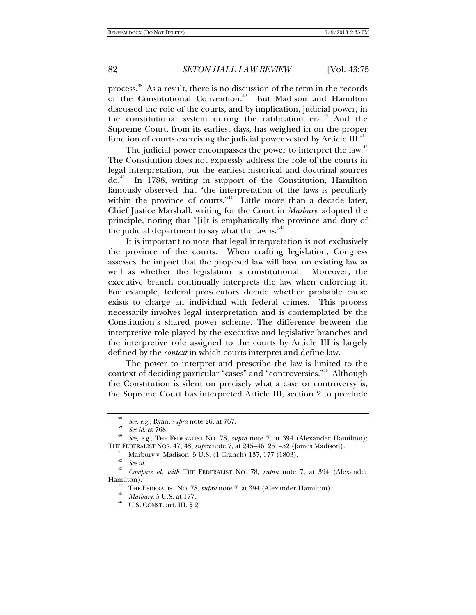process.38 As a result, there is no discussion of the term in the records of the Constitutional Convention.<sup>39</sup> But Madison and Hamilton discussed the role of the courts, and by implication, judicial power, in the constitutional system during the ratification era.<sup>40</sup> And the Supreme Court, from its earliest days, has weighed in on the proper function of courts exercising the judicial power vested by Article III.<sup>4</sup>

The judicial power encompasses the power to interpret the law. $42$ The Constitution does not expressly address the role of the courts in legal interpretation, but the earliest historical and doctrinal sources do.43 In 1788, writing in support of the Constitution, Hamilton famously observed that "the interpretation of the laws is peculiarly within the province of courts."<sup>44</sup> Little more than a decade later, Chief Justice Marshall, writing for the Court in *Marbury*, adopted the principle, noting that "[i]t is emphatically the province and duty of the judicial department to say what the law is."<sup>45</sup>

It is important to note that legal interpretation is not exclusively the province of the courts. When crafting legislation, Congress assesses the impact that the proposed law will have on existing law as well as whether the legislation is constitutional. Moreover, the executive branch continually interprets the law when enforcing it. For example, federal prosecutors decide whether probable cause exists to charge an individual with federal crimes. This process necessarily involves legal interpretation and is contemplated by the Constitution's shared power scheme. The difference between the interpretive role played by the executive and legislative branches and the interpretive role assigned to the courts by Article III is largely defined by the *context* in which courts interpret and define law.

The power to interpret and prescribe the law is limited to the context of deciding particular "cases" and "controversies."46 Although the Constitution is silent on precisely what a case or controversy is, the Supreme Court has interpreted Article III, section 2 to preclude

<sup>38</sup>*See, e.g.*, Ryan, *supra* note 26, at 767. 39

<sup>&</sup>lt;sup>40</sup> *See, e.g.*, THE FEDERALIST NO. 78, *supra* note 7, at 394 (Alexander Hamilton); THE FEDERALIST NOS. 47, 48, *supra* note 7, at 245–46, 251–52 (James Madison). 41 Marbury v. Madison, 5 U.S. (1 Cranch) 137, 177 (1803).

<sup>42</sup>  $\frac{43}{43}$  *See id.* 

*Compare id. with* THE FEDERALIST NO. 78, *supra* note 7, at 394 (Alexander Hamilton).<br><sup>44</sup> THE FEDERALIST NO. 78, *supra* note 7, at 394 (Alexander Hamilton).<br><sup>45</sup> *Marbury*, 5 U.S. at 177.<br><sup>46</sup> U.S. CONST. art. III, § 2.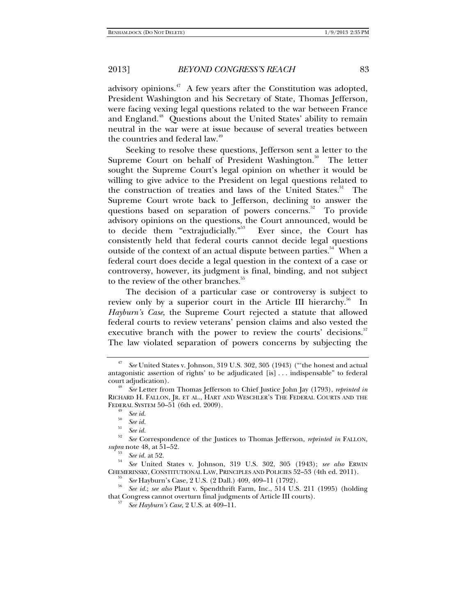advisory opinions.<sup>47</sup> A few years after the Constitution was adopted, President Washington and his Secretary of State, Thomas Jefferson, were facing vexing legal questions related to the war between France and England.<sup>48</sup> Questions about the United States' ability to remain neutral in the war were at issue because of several treaties between the countries and federal law.<sup>44</sup>

Seeking to resolve these questions, Jefferson sent a letter to the Supreme Court on behalf of President Washington. $50$  The letter sought the Supreme Court's legal opinion on whether it would be willing to give advice to the President on legal questions related to the construction of treaties and laws of the United States.<sup>51</sup> The Supreme Court wrote back to Jefferson, declining to answer the questions based on separation of powers concerns.<sup>52</sup> To provide advisory opinions on the questions, the Court announced, would be to decide them "extrajudicially."<sup>53</sup> Ever since, the Court has consistently held that federal courts cannot decide legal questions outside of the context of an actual dispute between parties.<sup>54</sup> When a federal court does decide a legal question in the context of a case or controversy, however, its judgment is final, binding, and not subject to the review of the other branches.<sup>55</sup>

The decision of a particular case or controversy is subject to review only by a superior court in the Article III hierarchy.<sup>56</sup> In *Hayburn's Case*, the Supreme Court rejected a statute that allowed federal courts to review veterans' pension claims and also vested the executive branch with the power to review the courts' decisions.<sup>57</sup> The law violated separation of powers concerns by subjecting the

<sup>47</sup> *See* United States v. Johnson, 319 U.S. 302, 305 (1943) ("'the honest and actual antagonistic assertion of rights' to be adjudicated [is] . . . indispensable" to federal court adjudication).

*See* Letter from Thomas Jefferson to Chief Justice John Jay (1793), *reprinted in* RICHARD H. FALLON, JR. ET AL., HART AND WESCHLER'S THE FEDERAL COURTS AND THE FEDERAL SYSTEM 50–51 (6th ed. 2009).<br><sup>49</sup> See id.<br><sup>50</sup> See id.<br><sup>51</sup>

 $\int_{52}^{51}$  *See id.* 

*See* Correspondence of the Justices to Thomas Jefferson, *reprinted in* FALLON, *supra* note 48, at 51–52.<br><sup>53</sup> *See id.* at 52.

<sup>&</sup>lt;sup>54</sup> *See* United States v. Johnson, 319 U.S. 302, 305 (1943); *see also* ERWIN CHEMERINSKY, CONSTITUTIONAL LAW, PRINCIPLES AND POLICIES 52–53 (4th ed. 2011). 55 *See* Hayburn's Case, 2 U.S. (2 Dall.) 409, 409–11 (1792). 56

*See id.*; *see also* Plaut v. Spendthrift Farm, Inc., 514 U.S. 211 (1995) (holding that Congress cannot overturn final judgments of Article III courts). 57

*See Hayburn's Case*, 2 U.S. at 409–11.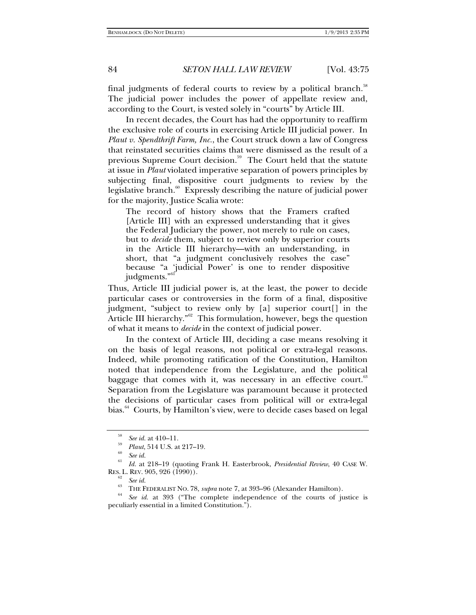final judgments of federal courts to review by a political branch.<sup>58</sup> The judicial power includes the power of appellate review and, according to the Court, is vested solely in "courts" by Article III.

In recent decades, the Court has had the opportunity to reaffirm the exclusive role of courts in exercising Article III judicial power. In *Plaut v. Spendthrift Farm, Inc.*, the Court struck down a law of Congress that reinstated securities claims that were dismissed as the result of a previous Supreme Court decision.<sup>59</sup> The Court held that the statute at issue in *Plaut* violated imperative separation of powers principles by subjecting final, dispositive court judgments to review by the legislative branch. $60$  Expressly describing the nature of judicial power for the majority, Justice Scalia wrote:

The record of history shows that the Framers crafted [Article III] with an expressed understanding that it gives the Federal Judiciary the power, not merely to rule on cases, but to *decide* them, subject to review only by superior courts in the Article III hierarchy—with an understanding, in short, that "a judgment conclusively resolves the case" because "a 'judicial Power' is one to render dispositive judgments."

Thus, Article III judicial power is, at the least, the power to decide particular cases or controversies in the form of a final, dispositive judgment, "subject to review only by [a] superior court[] in the Article III hierarchy."<sup>62</sup> This formulation, however, begs the question of what it means to *decide* in the context of judicial power.

In the context of Article III, deciding a case means resolving it on the basis of legal reasons, not political or extra-legal reasons. Indeed, while promoting ratification of the Constitution, Hamilton noted that independence from the Legislature, and the political baggage that comes with it, was necessary in an effective court.<sup>63</sup> Separation from the Legislature was paramount because it protected the decisions of particular cases from political will or extra-legal bias.<sup>64</sup> Courts, by Hamilton's view, were to decide cases based on legal

<sup>&</sup>lt;sup>58</sup> *See id.* at 410–11.<br><sup>59</sup> *Plaut*, 514 U.S. at 217–19.<br><sup>60</sup> *See id.* 

<sup>&</sup>lt;sup>61</sup> *Id.* at 218–19 (quoting Frank H. Easterbrook, *Presidential Review*, 40 CASE W. RES. L. REV. 905, 926 (1990)).

<sup>&</sup>lt;sup>62</sup> *See id.*<br><sup>63</sup> THE FEDERALIST NO. 78, *supra* note 7, at 393–96 (Alexander Hamilton).<br><sup>64</sup> *See id.* at 393 ("The complete independence of the courts of justice is peculiarly essential in a limited Constitution.").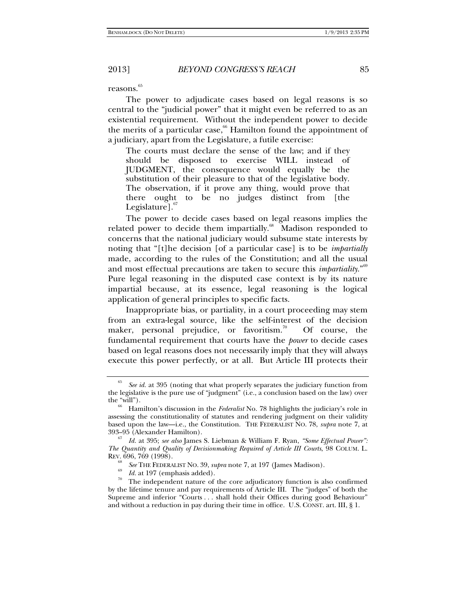reasons.<sup>65</sup>

The power to adjudicate cases based on legal reasons is so central to the "judicial power" that it might even be referred to as an existential requirement. Without the independent power to decide the merits of a particular case,<sup>66</sup> Hamilton found the appointment of a judiciary, apart from the Legislature, a futile exercise:

The courts must declare the sense of the law; and if they should be disposed to exercise WILL instead of JUDGMENT, the consequence would equally be the substitution of their pleasure to that of the legislative body. The observation, if it prove any thing, would prove that there ought to be no judges distinct from [the Legislature]. $\degree$ 

The power to decide cases based on legal reasons implies the related power to decide them impartially.<sup>68</sup> Madison responded to concerns that the national judiciary would subsume state interests by noting that "[t]he decision [of a particular case] is to be *impartially* made, according to the rules of the Constitution; and all the usual and most effectual precautions are taken to secure this *impartiality*."69 Pure legal reasoning in the disputed case context is by its nature impartial because, at its essence, legal reasoning is the logical application of general principles to specific facts.

Inappropriate bias, or partiality, in a court proceeding may stem from an extra-legal source, like the self-interest of the decision maker, personal prejudice, or favoritism.<sup>70</sup> Of course, the fundamental requirement that courts have the *power* to decide cases based on legal reasons does not necessarily imply that they will always execute this power perfectly, or at all. But Article III protects their

<sup>65</sup> *See id.* at 395 (noting that what properly separates the judiciary function from the legislative is the pure use of "judgment" (i.e., a conclusion based on the law) over

Hamilton's discussion in the *Federalist* No. 78 highlights the judiciary's role in assessing the constitutionality of statutes and rendering judgment on their validity based upon the law—i.e., the Constitution. THE FEDERALIST NO. 78, *supra* note 7, at

<sup>1</sup>d. at 395; see also James S. Liebman & William F. Ryan, "Some Effectual Power": *The Quantity and Quality of Decisionmaking Required of Article III Courts*, 98 COLUM. L. REV. 696, 769 (1998).

<sup>68</sup>

<sup>&</sup>lt;sup>68</sup> *See* THE FEDERALIST NO. 39, *supra* note 7, at 197 (James Madison).<br><sup>70</sup> *Id.* at 197 (emphasis added).<br><sup>70</sup> The independent nature of the core adjudicatory function is also confirmed by the lifetime tenure and pay requirements of Article III. The "judges" of both the Supreme and inferior "Courts . . . shall hold their Offices during good Behaviour" and without a reduction in pay during their time in office. U.S. CONST. art. III, § 1.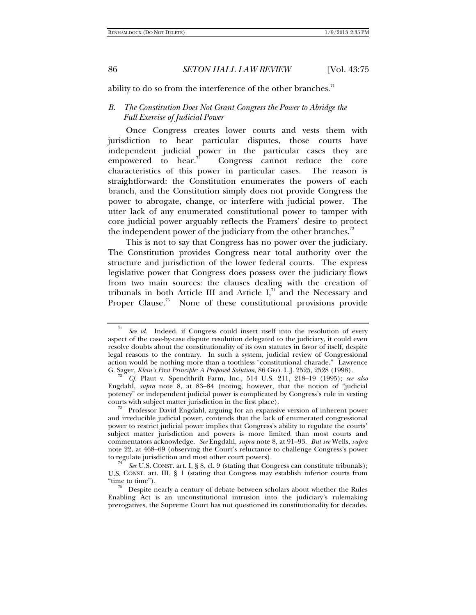ability to do so from the interference of the other branches. $<sup>71</sup>$ </sup>

## *B. The Constitution Does Not Grant Congress the Power to Abridge the Full Exercise of Judicial Power*

Once Congress creates lower courts and vests them with jurisdiction to hear particular disputes, those courts have independent judicial power in the particular cases they are empowered to hear.<sup>72</sup> Congress cannot reduce the core characteristics of this power in particular cases. The reason is straightforward: the Constitution enumerates the powers of each branch, and the Constitution simply does not provide Congress the power to abrogate, change, or interfere with judicial power. The utter lack of any enumerated constitutional power to tamper with core judicial power arguably reflects the Framers' desire to protect the independent power of the judiciary from the other branches.<sup>73</sup>

This is not to say that Congress has no power over the judiciary. The Constitution provides Congress near total authority over the structure and jurisdiction of the lower federal courts. The express legislative power that Congress does possess over the judiciary flows from two main sources: the clauses dealing with the creation of tribunals in both Article III and Article  $I^{74}$ , and the Necessary and Proper Clause.<sup>75</sup> None of these constitutional provisions provide

<sup>71</sup> *See id.* Indeed, if Congress could insert itself into the resolution of every aspect of the case-by-case dispute resolution delegated to the judiciary, it could even resolve doubts about the constitutionality of its own statutes in favor of itself, despite legal reasons to the contrary. In such a system, judicial review of Congressional action would be nothing more than a toothless "constitutional charade." Lawrence G. Sager, Klein's First Principle: A Proposed Solution, 86 GEO. L.J. 2525, 2528 (1998).

G. Sager, *Klein's First Principle: A Proposed Solution*, 86 GEO. L.J. 2525, 2528 (1998). 72 *Cf.* Plaut v. Spendthrift Farm, Inc., 514 U.S. 211, 218–19 (1995); *see also*  Engdahl, *supra* note 8, at 83–84 (noting, however, that the notion of "judicial potency" or independent judicial power is complicated by Congress's role in vesting

 $73$  Professor David Engdahl, arguing for an expansive version of inherent power and irreducible judicial power, contends that the lack of enumerated congressional power to restrict judicial power implies that Congress's ability to regulate the courts' subject matter jurisdiction and powers is more limited than most courts and commentators acknowledge. *See* Engdahl, *supra* note 8, at 91–93. *But see* Wells, *supra*  note 22, at 468–69 (observing the Court's reluctance to challenge Congress's power to regulate jurisdiction and most other court powers).

*See* U.S. CONST. art. I, § 8, cl. 9 (stating that Congress can constitute tribunals); U.S. CONST. art. III, § 1 (stating that Congress may establish inferior courts from "time to time").

Despite nearly a century of debate between scholars about whether the Rules Enabling Act is an unconstitutional intrusion into the judiciary's rulemaking prerogatives, the Supreme Court has not questioned its constitutionality for decades.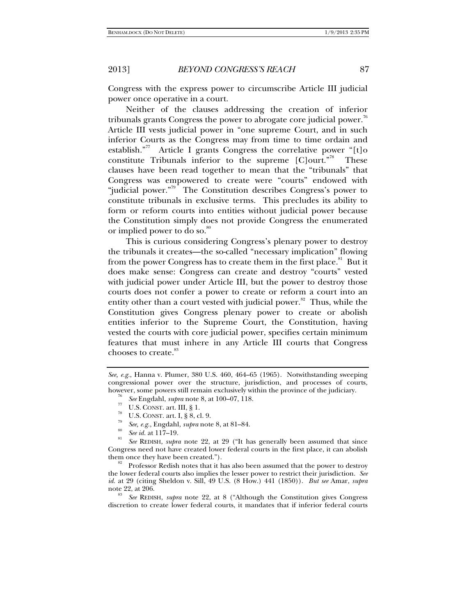Congress with the express power to circumscribe Article III judicial power once operative in a court.

Neither of the clauses addressing the creation of inferior tribunals grants Congress the power to abrogate core judicial power. $76$ Article III vests judicial power in "one supreme Court, and in such inferior Courts as the Congress may from time to time ordain and establish."<sup>77</sup> Article I grants Congress the correlative power "[t]o constitute Tribunals inferior to the supreme  $[C]$ ourt."<sup>78</sup> These clauses have been read together to mean that the "tribunals" that Congress was empowered to create were "courts" endowed with "judicial power."<sup>79</sup> The Constitution describes Congress's power to constitute tribunals in exclusive terms. This precludes its ability to form or reform courts into entities without judicial power because the Constitution simply does not provide Congress the enumerated or implied power to do so.<sup>80</sup>

This is curious considering Congress's plenary power to destroy the tribunals it creates—the so-called "necessary implication" flowing from the power Congress has to create them in the first place.<sup>81</sup> But it does make sense: Congress can create and destroy "courts" vested with judicial power under Article III, but the power to destroy those courts does not confer a power to create or reform a court into an entity other than a court vested with judicial power. $82$  Thus, while the Constitution gives Congress plenary power to create or abolish entities inferior to the Supreme Court, the Constitution, having vested the courts with core judicial power, specifies certain minimum features that must inhere in any Article III courts that Congress chooses to create.<sup>83</sup>

- *M*<br> *See Engdami, <i>or*<br> *See, e.g., Engdahl, <i>supra* note 8, at 81–84.
- *See id.* at 117-19.

 *See* REDISH, *supra* note 22, at 29 ("It has generally been assumed that since Congress need not have created lower federal courts in the first place, it can abolish them once they have been created.").<br><sup>82</sup> Professor Redish notes that it has also been assumed that the power to destroy

the lower federal courts also implies the lesser power to restrict their jurisdiction. *See id.* at 29 (citing Sheldon v. Sill, 49 U.S. (8 How.) 441 (1850)). *But see* Amar, *supra*  note 22, at 206. 83 *See* REDISH, *supra* note 22, at 8 ("Although the Constitution gives Congress

discretion to create lower federal courts, it mandates that if inferior federal courts

*See, e.g.*, Hanna v. Plumer, 380 U.S. 460, 464–65 (1965). Notwithstanding sweeping congressional power over the structure, jurisdiction, and processes of courts, however, some powers still remain exclusively within the province of the judiciary.<br><sup>76</sup> See Engdahl, *supra* note 8, at 100–07, 118.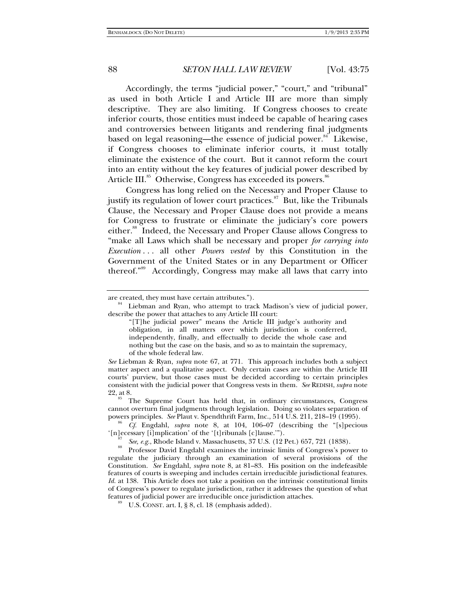Accordingly, the terms "judicial power," "court," and "tribunal" as used in both Article I and Article III are more than simply descriptive. They are also limiting. If Congress chooses to create inferior courts, those entities must indeed be capable of hearing cases and controversies between litigants and rendering final judgments based on legal reasoning—the essence of judicial power.<sup>84</sup> Likewise, if Congress chooses to eliminate inferior courts, it must totally eliminate the existence of the court. But it cannot reform the court into an entity without the key features of judicial power described by Article III.<sup>85</sup> Otherwise, Congress has exceeded its powers.<sup>86</sup>

Congress has long relied on the Necessary and Proper Clause to justify its regulation of lower court practices.<sup>87</sup> But, like the Tribunals Clause, the Necessary and Proper Clause does not provide a means for Congress to frustrate or eliminate the judiciary's core powers either.<sup>88</sup> Indeed, the Necessary and Proper Clause allows Congress to "make all Laws which shall be necessary and proper *for carrying into Execution* . . . all other *Powers vested* by this Constitution in the Government of the United States or in any Department or Officer thereof."89 Accordingly, Congress may make all laws that carry into

are created, they must have certain attributes."). 84 Liebman and Ryan, who attempt to track Madison's view of judicial power, describe the power that attaches to any Article III court:

<sup>&</sup>quot;[T]he judicial power" means the Article III judge's authority and obligation, in all matters over which jurisdiction is conferred, independently, finally, and effectually to decide the whole case and nothing but the case on the basis, and so as to maintain the supremacy, of the whole federal law.

*See* Liebman & Ryan, *supra* note 67, at 771. This approach includes both a subject matter aspect and a qualitative aspect. Only certain cases are within the Article III courts' purview, but those cases must be decided according to certain principles consistent with the judicial power that Congress vests in them. *See* REDISH, *supra* note 22, at 8.<br><sup>85</sup> The Supreme Court has held that, in ordinary circumstances, Congress

cannot overturn final judgments through legislation. Doing so violates separation of powers principles. See Plaut v. Spendthrift Farm, Inc., 514 U.S. 211, 218-19 (1995).

*Cf.* Engdahl, *supra* note 8, at 104, 106–07 (describing the "[s]pecious '[n]ecessary [i]mplication' of the '[t]ribunals [c]lause."").<br><sup>87</sup> See, e.g., Rhode Island v. Massachusetts, 37 U.S. (12 Pet.) 657, 721 (1838).

<sup>&</sup>lt;sup>88</sup> Professor David Engdahl examines the intrinsic limits of Congress's power to regulate the judiciary through an examination of several provisions of the Constitution. *See* Engdahl, *supra* note 8, at 81–83. His position on the indefeasible features of courts is sweeping and includes certain irreducible jurisdictional features. *Id.* at 138. This Article does not take a position on the intrinsic constitutional limits of Congress's power to regulate jurisdiction, rather it addresses the question of what features of judicial power are irreducible once jurisdiction attaches. 89 U.S. CONST. art. I, § 8, cl. 18 (emphasis added).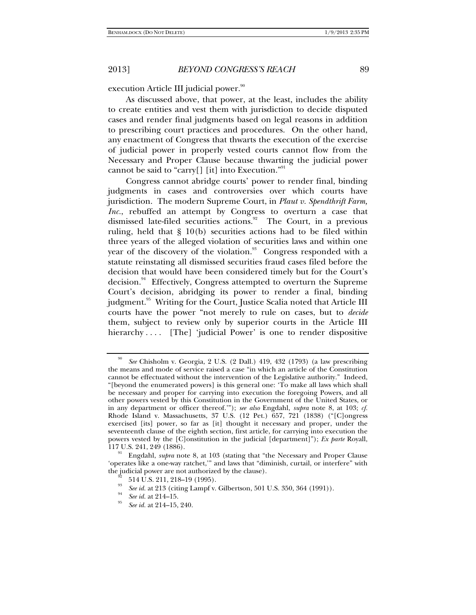execution Article III judicial power.<sup>90</sup>

As discussed above, that power, at the least, includes the ability to create entities and vest them with jurisdiction to decide disputed cases and render final judgments based on legal reasons in addition to prescribing court practices and procedures. On the other hand, any enactment of Congress that thwarts the execution of the exercise of judicial power in properly vested courts cannot flow from the Necessary and Proper Clause because thwarting the judicial power cannot be said to "carry[] [it] into Execution."

Congress cannot abridge courts' power to render final, binding judgments in cases and controversies over which courts have jurisdiction. The modern Supreme Court, in *Plaut v. Spendthrift Farm, Inc.*, rebuffed an attempt by Congress to overturn a case that dismissed late-filed securities actions.<sup>92</sup> The Court, in a previous ruling, held that § 10(b) securities actions had to be filed within three years of the alleged violation of securities laws and within one year of the discovery of the violation.<sup>93</sup> Congress responded with a statute reinstating all dismissed securities fraud cases filed before the decision that would have been considered timely but for the Court's decision.<sup>94</sup> Effectively, Congress attempted to overturn the Supreme Court's decision, abridging its power to render a final, binding judgment.<sup>95</sup> Writing for the Court, Justice Scalia noted that Article III courts have the power "not merely to rule on cases, but to *decide* them, subject to review only by superior courts in the Article III hierarchy .... [The] 'judicial Power' is one to render dispositive

<sup>90</sup> *See* Chisholm v. Georgia, 2 U.S. (2 Dall.) 419, 432 (1793) (a law prescribing the means and mode of service raised a case "in which an article of the Constitution cannot be effectuated without the intervention of the Legislative authority." Indeed, "[beyond the enumerated powers] is this general one: 'To make all laws which shall be necessary and proper for carrying into execution the foregoing Powers, and all other powers vested by this Constitution in the Government of the United States, or in any department or officer thereof.'"); *see also* Engdahl, *supra* note 8, at 103; *cf.* Rhode Island v. Massachusetts, 37 U.S. (12 Pet.) 657, 721 (1838) ("[C]ongress exercised [its] power, so far as [it] thought it necessary and proper, under the seventeenth clause of the eighth section, first article, for carrying into execution the powers vested by the [C]onstitution in the judicial [department]"); *Ex parte* Royall,

Engdahl, *supra* note 8, at 103 (stating that "the Necessary and Proper Clause 'operates like a one-way ratchet,'" and laws that "diminish, curtail, or interfere" with the judicial power are not authorized by the clause).<br><sup> $\frac{92}{2}$ </sup> 514 U.S. 211, 218–19 (1995).

<sup>93</sup>

<sup>&</sup>lt;sup>93</sup> *See id.* at 213 (citing Lampf v. Gilbertson, 501 U.S. 350, 364 (1991)). <br><sup>94</sup> *See id.* at 214–15.

*See id.* at 214–15, 240.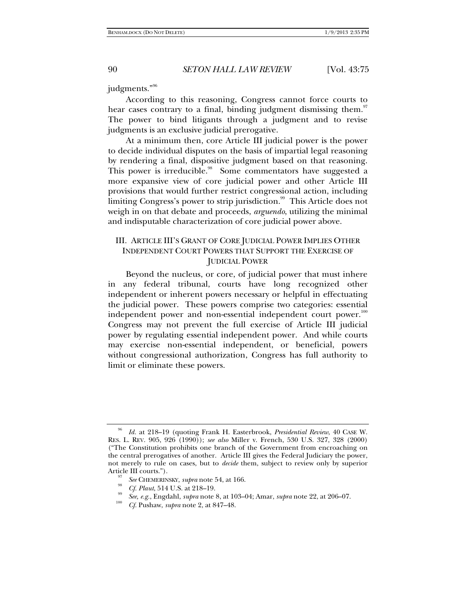judgments."<sup>96</sup>

According to this reasoning, Congress cannot force courts to hear cases contrary to a final, binding judgment dismissing them.<sup>97</sup> The power to bind litigants through a judgment and to revise judgments is an exclusive judicial prerogative.

At a minimum then, core Article III judicial power is the power to decide individual disputes on the basis of impartial legal reasoning by rendering a final, dispositive judgment based on that reasoning. This power is irreducible.<sup>98</sup> Some commentators have suggested a more expansive view of core judicial power and other Article III provisions that would further restrict congressional action, including limiting Congress's power to strip jurisdiction.<sup>99</sup> This Article does not weigh in on that debate and proceeds, *arguendo*, utilizing the minimal and indisputable characterization of core judicial power above.

# III. ARTICLE III'S GRANT OF CORE JUDICIAL POWER IMPLIES OTHER INDEPENDENT COURT POWERS THAT SUPPORT THE EXERCISE OF JUDICIAL POWER

Beyond the nucleus, or core, of judicial power that must inhere in any federal tribunal, courts have long recognized other independent or inherent powers necessary or helpful in effectuating the judicial power. These powers comprise two categories: essential independent power and non-essential independent court power.<sup>100</sup> Congress may not prevent the full exercise of Article III judicial power by regulating essential independent power. And while courts may exercise non-essential independent, or beneficial, powers without congressional authorization, Congress has full authority to limit or eliminate these powers.

<sup>96</sup> *Id.* at 218–19 (quoting Frank H. Easterbrook, *Presidential Review*, 40 CASE W. RES. L. REV. 905, 926 (1990)); *see also* Miller v. French, 530 U.S. 327, 328 (2000) ("The Constitution prohibits one branch of the Government from encroaching on the central prerogatives of another. Article III gives the Federal Judiciary the power, not merely to rule on cases, but to *decide* them, subject to review only by superior Article III courts.").<br><sup>97</sup> *See* CHEMERINSKY, *supra* note 54, at 166.<br><sup>98</sup> *Cf. Plaut*, 514 U.S. at 218–19.

<sup>&</sup>lt;sup>99</sup> *See, e.g.*, Engdahl, *supra* note 8, at 103–04; Amar, *supra* note 22, at 206–07.

*Cf.* Pushaw, *supra* note 2, at 847–48.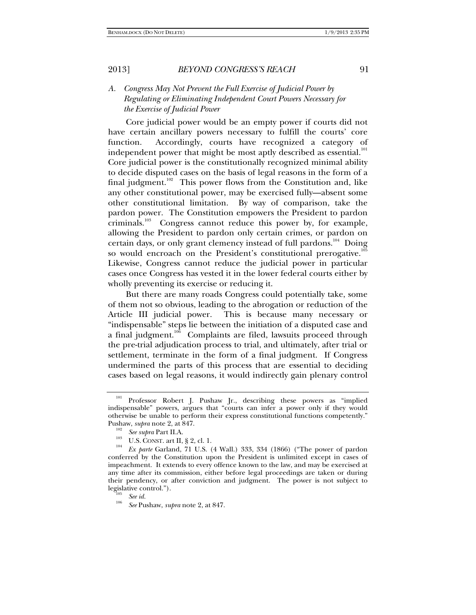# *A. Congress May Not Prevent the Full Exercise of Judicial Power by Regulating or Eliminating Independent Court Powers Necessary for the Exercise of Judicial Power*

Core judicial power would be an empty power if courts did not have certain ancillary powers necessary to fulfill the courts' core function. Accordingly, courts have recognized a category of independent power that might be most aptly described as essential. $^{101}$ Core judicial power is the constitutionally recognized minimal ability to decide disputed cases on the basis of legal reasons in the form of a final judgment.<sup>102</sup> This power flows from the Constitution and, like any other constitutional power, may be exercised fully—absent some other constitutional limitation. By way of comparison, take the pardon power. The Constitution empowers the President to pardon criminals.<sup>103</sup> Congress cannot reduce this power by, for example, allowing the President to pardon only certain crimes, or pardon on certain days, or only grant clemency instead of full pardons.<sup>104</sup> Doing so would encroach on the President's constitutional prerogative.<sup>105</sup> Likewise, Congress cannot reduce the judicial power in particular cases once Congress has vested it in the lower federal courts either by wholly preventing its exercise or reducing it.

But there are many roads Congress could potentially take, some of them not so obvious, leading to the abrogation or reduction of the Article III judicial power. This is because many necessary or "indispensable" steps lie between the initiation of a disputed case and a final judgment.<sup>106</sup> Complaints are filed, lawsuits proceed through the pre-trial adjudication process to trial, and ultimately, after trial or settlement, terminate in the form of a final judgment. If Congress undermined the parts of this process that are essential to deciding cases based on legal reasons, it would indirectly gain plenary control

<sup>&</sup>lt;sup>101</sup> Professor Robert J. Pushaw Jr., describing these powers as "implied indispensable" powers, argues that "courts can infer a power only if they would otherwise be unable to perform their express constitutional functions competently."

Pushaw, *supra* note 2, at 847.<br><sup>102</sup> See supra Part II.A.

<sup>&</sup>lt;sup>103</sup> U.S. CONST. art II, § 2, cl. 1.

*Ex parte* Garland, 71 U.S. (4 Wall.) 333, 334 (1866) ("The power of pardon conferred by the Constitution upon the President is unlimited except in cases of impeachment. It extends to every offence known to the law, and may be exercised at any time after its commission, either before legal proceedings are taken or during their pendency, or after conviction and judgment. The power is not subject to legislative control.").<br><sup>105</sup> *See id.* 106 *See id.* 

*See* Pushaw, *supra* note 2, at 847.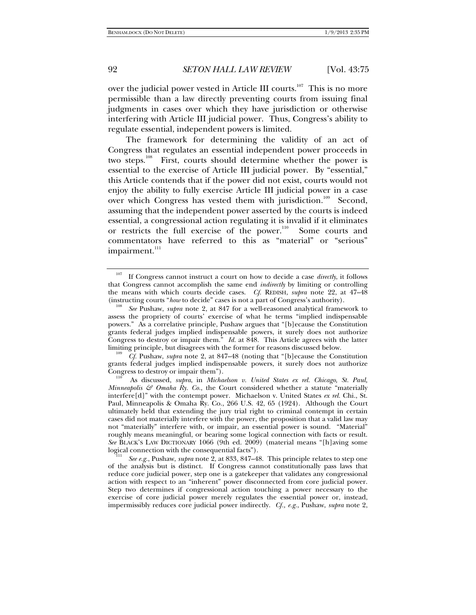over the judicial power vested in Article III courts.<sup>107</sup> This is no more permissible than a law directly preventing courts from issuing final judgments in cases over which they have jurisdiction or otherwise interfering with Article III judicial power. Thus, Congress's ability to regulate essential, independent powers is limited.

The framework for determining the validity of an act of Congress that regulates an essential independent power proceeds in two steps.<sup>108</sup> First, courts should determine whether the power is essential to the exercise of Article III judicial power. By "essential," this Article contends that if the power did not exist, courts would not enjoy the ability to fully exercise Article III judicial power in a case over which Congress has vested them with jurisdiction.<sup>109</sup> Second, assuming that the independent power asserted by the courts is indeed essential, a congressional action regulating it is invalid if it eliminates or restricts the full exercise of the power.<sup>110</sup> Some courts and commentators have referred to this as "material" or "serious" impairment.<sup>111</sup>

 *Cf.* Pushaw, *supra* note 2, at 847–48 (noting that "[b]ecause the Constitution grants federal judges implied indispensable powers, it surely does not authorize

As discussed, *supra*, in *Michaelson v. United States ex rel. Chicago, St. Paul, Minneapolis*  $\mathcal{F}$  *Omaha Ry. Co.*, the Court considered whether a statute "materially interfere[d]" with the contempt power. Michaelson v. United States *ex rel.* Chi., St. Paul, Minneapolis & Omaha Ry. Co., 266 U.S. 42, 65 (1924). Although the Court ultimately held that extending the jury trial right to criminal contempt in certain cases did not materially interfere with the power, the proposition that a valid law may not "materially" interfere with, or impair, an essential power is sound. "Material" roughly means meaningful, or bearing some logical connection with facts or result. *See* BLACK'S LAW DICTIONARY 1066 (9th ed. 2009) (material means "[h]aving some logical connection with the consequential facts").

 *See e.g.*, Pushaw, *supra* note 2, at 833, 847–48. This principle relates to step one of the analysis but is distinct. If Congress cannot constitutionally pass laws that reduce core judicial power, step one is a gatekeeper that validates any congressional action with respect to an "inherent" power disconnected from core judicial power. Step two determines if congressional action touching a power necessary to the exercise of core judicial power merely regulates the essential power or, instead, impermissibly reduces core judicial power indirectly. *Cf., e.g.*, Pushaw, *supra* note 2,

<sup>&</sup>lt;sup>107</sup> If Congress cannot instruct a court on how to decide a case *directly*, it follows that Congress cannot accomplish the same end *indirectly* by limiting or controlling the means with which courts decide cases. *Cf.* REDISH, *supra* note 22, at 47–48

<sup>(</sup>instructing courts "*how* to decide" cases is not a part of Congress's authority). 108 *See* Pushaw, *supra* note 2, at 847 for a well-reasoned analytical framework to assess the propriety of courts' exercise of what he terms "implied indispensable powers." As a correlative principle, Pushaw argues that "[b]ecause the Constitution grants federal judges implied indispensable powers, it surely does not authorize Congress to destroy or impair them." *Id.* at 848. This Article agrees with the latter limiting principle, but disagrees with the former for reasons discussed below.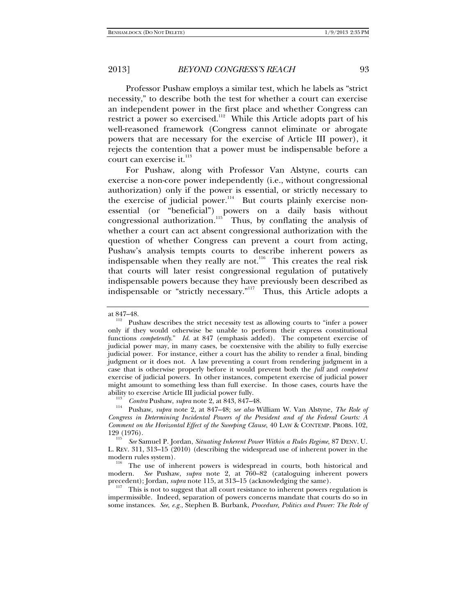Professor Pushaw employs a similar test, which he labels as "strict necessity," to describe both the test for whether a court can exercise an independent power in the first place and whether Congress can restrict a power so exercised.<sup>112</sup> While this Article adopts part of his well-reasoned framework (Congress cannot eliminate or abrogate powers that are necessary for the exercise of Article III power), it rejects the contention that a power must be indispensable before a court can exercise it.<sup>113</sup>

For Pushaw, along with Professor Van Alstyne, courts can exercise a non-core power independently (i.e., without congressional authorization) only if the power is essential, or strictly necessary to the exercise of judicial power.<sup>114</sup> But courts plainly exercise nonessential (or "beneficial") powers on a daily basis without congressional authorization.<sup>115</sup> Thus, by conflating the analysis of whether a court can act absent congressional authorization with the question of whether Congress can prevent a court from acting, Pushaw's analysis tempts courts to describe inherent powers as indispensable when they really are not.<sup>116</sup> This creates the real risk that courts will later resist congressional regulation of putatively indispensable powers because they have previously been described as indispensable or "strictly necessary."117 Thus, this Article adopts a

<sup>117</sup> This is not to suggest that all court resistance to inherent powers regulation is impermissible. Indeed, separation of powers concerns mandate that courts do so in some instances. *See*, *e.g.*, Stephen B. Burbank, *Procedure, Politics and Power: The Role of* 

at 847–48.  $112$  Pushaw describes the strict necessity test as allowing courts to "infer a power only if they would otherwise be unable to perform their express constitutional functions *competently*." *Id.* at 847 (emphasis added). The competent exercise of judicial power may, in many cases, be coextensive with the ability to fully exercise judicial power. For instance, either a court has the ability to render a final, binding judgment or it does not. A law preventing a court from rendering judgment in a case that is otherwise properly before it would prevent both the *full* and *competent*  exercise of judicial powers. In other instances, competent exercise of judicial power might amount to something less than full exercise. In those cases, courts have the

ability to exercise Article III judicial power fully.<br> $\frac{113}{113}$  *Contra* Pushaw, *supra* note 2, at 843, 847–48.

<sup>&</sup>lt;sup>114</sup> Pushaw, *supra* note 2, at 847–48; *see also* William W. Van Alstyne, *The Role of Congress in Determining Incidental Powers of the President and of the Federal Courts: A Comment on the Horizontal Effect of the Sweeping Clause*, 40 LAW & CONTEMP. PROBS. 102, 129 (1976).

*See* Samuel P. Jordan, *Situating Inherent Power Within a Rules Regime*, 87 DENV. U. L. REV. 311, 313–15 (2010) (describing the widespread use of inherent power in the modern rules system).<br> $\frac{116}{116}$  The use of inherent powers is widespread in courts, both historical and

modern. *See* Pushaw, *supra* note 2, at 760–82 (cataloguing inherent powers precedent); Jordan, *supra* note 115, at 313–15 (acknowledging the same).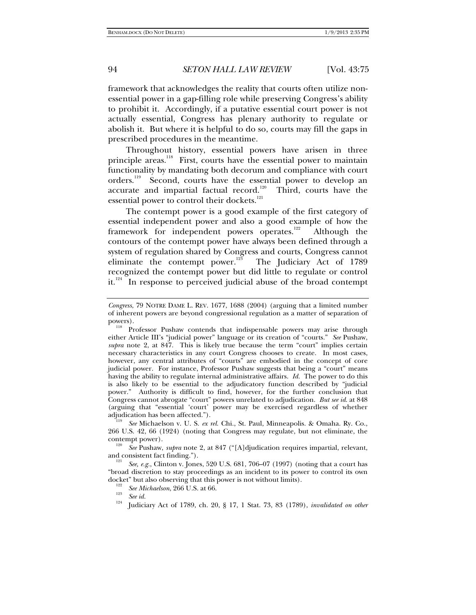framework that acknowledges the reality that courts often utilize nonessential power in a gap-filling role while preserving Congress's ability to prohibit it. Accordingly, if a putative essential court power is not actually essential, Congress has plenary authority to regulate or abolish it. But where it is helpful to do so, courts may fill the gaps in prescribed procedures in the meantime.

Throughout history, essential powers have arisen in three principle areas.<sup>118</sup> First, courts have the essential power to maintain functionality by mandating both decorum and compliance with court orders.<sup>119</sup> Second, courts have the essential power to develop an accurate and impartial factual record.<sup>120</sup> Third, courts have the essential power to control their dockets.<sup>121</sup>

The contempt power is a good example of the first category of essential independent power and also a good example of how the framework for independent powers operates.<sup>122</sup> Although the contours of the contempt power have always been defined through a system of regulation shared by Congress and courts, Congress cannot eliminate the contempt power.<sup>123</sup> The Judiciary Act of 1789 recognized the contempt power but did little to regulate or control it.<sup>124</sup> In response to perceived judicial abuse of the broad contempt

266 U.S. 42, 66 (1924) (noting that Congress may regulate, but not eliminate, the

contempt power).<br><sup>120</sup> *See* Pushaw, *supra* note 2, at 847 ("[A]djudication requires impartial, relevant, and consistent fact finding.").

*See, e.g.*, Clinton v. Jones, 520 U.S. 681, 706–07 (1997) (noting that a court has "broad discretion to stay proceedings as an incident to its power to control its own docket" but also observing that this power is not without limits).<br>  $\frac{122}{122}$  See Michaelson, 266 U.S. at 66.

<sup>123</sup> *See id.* 124 *See id.* 124 **Judiciary Act of 1789**, ch. 20, § 17, 1 Stat. 73, 83 (1789), *invalidated on other* 

*Congress*, 79 NOTRE DAME L. REV. 1677, 1688 (2004) (arguing that a limited number of inherent powers are beyond congressional regulation as a matter of separation of

Professor Pushaw contends that indispensable powers may arise through either Article III's "judicial power" language or its creation of "courts." *See* Pushaw, *supra* note 2, at 847. This is likely true because the term "court" implies certain necessary characteristics in any court Congress chooses to create. In most cases, however, any central attributes of "courts" are embodied in the concept of core judicial power. For instance, Professor Pushaw suggests that being a "court" means having the ability to regulate internal administrative affairs. *Id.* The power to do this is also likely to be essential to the adjudicatory function described by "judicial power." Authority is difficult to find, however, for the further conclusion that Congress cannot abrogate "court" powers unrelated to adjudication. *But see id*. at 848 (arguing that "essential 'court' power may be exercised regardless of whether adjudication has been affected."). 119 *See* Michaelson v. U. S. *ex rel.* Chi., St. Paul, Minneapolis. & Omaha. Ry. Co.,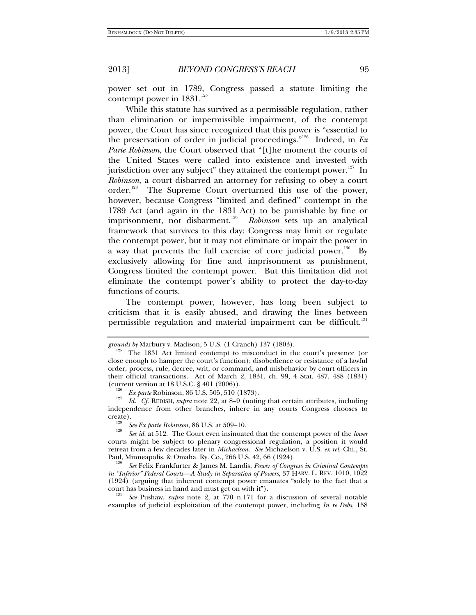power set out in 1789, Congress passed a statute limiting the contempt power in  $1831.^{125}$ 

While this statute has survived as a permissible regulation, rather than elimination or impermissible impairment, of the contempt power, the Court has since recognized that this power is "essential to the preservation of order in judicial proceedings."126 Indeed, in *Ex Parte Robinson*, the Court observed that "[t]he moment the courts of the United States were called into existence and invested with jurisdiction over any subject" they attained the contempt power.<sup>127</sup> In *Robinson*, a court disbarred an attorney for refusing to obey a court order.<sup>128</sup> The Supreme Court overturned this use of the power, however, because Congress "limited and defined" contempt in the 1789 Act (and again in the 1831 Act) to be punishable by fine or imprisonment, not disbarment.<sup>129</sup> Robinson sets up an analytical framework that survives to this day: Congress may limit or regulate the contempt power, but it may not eliminate or impair the power in a way that prevents the full exercise of core judicial power.<sup>130</sup> By exclusively allowing for fine and imprisonment as punishment, Congress limited the contempt power. But this limitation did not eliminate the contempt power's ability to protect the day-to-day functions of courts.

The contempt power, however, has long been subject to criticism that it is easily abused, and drawing the lines between permissible regulation and material impairment can be difficult.<sup>131</sup>

*grounds by* Marbury v. Madison, 5 U.S. (1 Cranch) 137 (1803).<br><sup>125</sup> The 1831 Act limited contempt to misconduct in the court's presence (or close enough to hamper the court's function); disobedience or resistance of a lawful order, process, rule, decree, writ, or command; and misbehavior by court officers in their official transactions. Act of March 2, 1831, ch. 99, 4 Stat. 487, 488 (1831)

<sup>&</sup>lt;sup>126</sup> Ex parte Robinson, 86 U.S. 505, 510 (1873).<br><sup>127</sup> *LL Cf. Brown, submanie* 89, st 8, 0 (notice

*Id. Cf.* REDISH, *supra* note 22, at 8–9 (noting that certain attributes, including independence from other branches, inhere in any courts Congress chooses to create).<br><sup>128</sup> See Ex parte Robinson, 86 U.S. at 509–10.

<sup>&</sup>lt;sup>129</sup> *See id.* at 512. The Court even insinuated that the contempt power of the *lower* courts might be subject to plenary congressional regulation, a position it would retreat from a few decades later in *Michaelson*. *See* Michaelson v. U.S. *ex rel.* Chi., St. Paul, Minneapolis. & Omaha. Ry. Co., 266 U.S. 42, 66 (1924). 130

*See* Felix Frankfurter & James M. Landis, *Power of Congress in Criminal Contempts in "Inferior" Federal Courts—A Study in Separation of Powers*, 37 HARV. L. REV. 1010, 1022 (1924) (arguing that inherent contempt power emanates "solely to the fact that a court has business in hand and must get on with it"). 131 *See* Pushaw, *supra* note 2, at 770 n.171 for a discussion of several notable

examples of judicial exploitation of the contempt power, including *In re Debs,* 158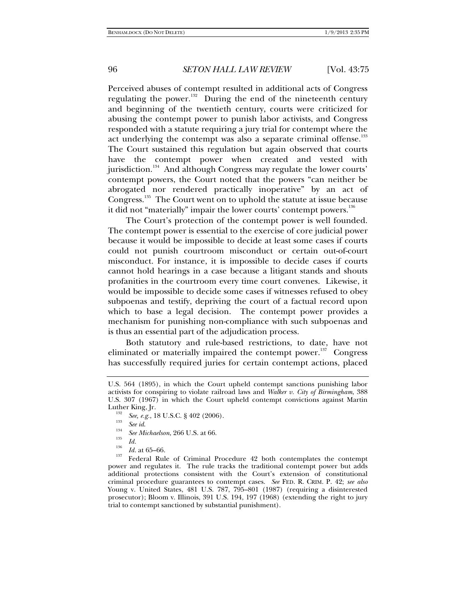Perceived abuses of contempt resulted in additional acts of Congress regulating the power.<sup>132</sup> During the end of the nineteenth century and beginning of the twentieth century, courts were criticized for abusing the contempt power to punish labor activists, and Congress responded with a statute requiring a jury trial for contempt where the act underlying the contempt was also a separate criminal offense. $^{133}$ The Court sustained this regulation but again observed that courts have the contempt power when created and vested with jurisdiction.<sup>134</sup> And although Congress may regulate the lower courts' contempt powers, the Court noted that the powers "can neither be abrogated nor rendered practically inoperative" by an act of Congress.<sup>355</sup> The Court went on to uphold the statute at issue because it did not "materially" impair the lower courts' contempt powers.<sup>136</sup>

The Court's protection of the contempt power is well founded. The contempt power is essential to the exercise of core judicial power because it would be impossible to decide at least some cases if courts could not punish courtroom misconduct or certain out-of-court misconduct. For instance, it is impossible to decide cases if courts cannot hold hearings in a case because a litigant stands and shouts profanities in the courtroom every time court convenes. Likewise, it would be impossible to decide some cases if witnesses refused to obey subpoenas and testify, depriving the court of a factual record upon which to base a legal decision. The contempt power provides a mechanism for punishing non-compliance with such subpoenas and is thus an essential part of the adjudication process.

Both statutory and rule-based restrictions, to date, have not eliminated or materially impaired the contempt power.<sup>137</sup> Congress has successfully required juries for certain contempt actions, placed

<sup>136</sup>*Id.* at 65–66.<br><sup>137</sup> Federal Rule of Criminal Procedure 42 both contemplates the contempt power and regulates it. The rule tracks the traditional contempt power but adds additional protections consistent with the Court's extension of constitutional criminal procedure guarantees to contempt cases. *See* FED. R. CRIM. P. 42; *see also* Young v. United States, 481 U.S. 787, 795–801 (1987) (requiring a disinterested prosecutor); Bloom v. Illinois, 391 U.S. 194, 197 (1968) (extending the right to jury trial to contempt sanctioned by substantial punishment).

U.S. 564 (1895), in which the Court upheld contempt sanctions punishing labor activists for conspiring to violate railroad laws and *Walker v. City of Birmingham*, 388 U.S. 307 (1967) in which the Court upheld contempt convictions against Martin

<sup>&</sup>lt;sup>132</sup> *See, e.g.*, 18 U.S.C. § 402 (2006).<br><sup>133</sup> *See id.* 134 **See 11** 134 **Secret 125 in** 134 **C.** 134 **134 134 134 134 134 134 134 134 134 134 134 134 134 134 134 134 134 134 134**

<sup>&</sup>lt;sup>134</sup> *See Michaelson*, 266 U.S. at 66.<br><sup>135</sup> *Id.*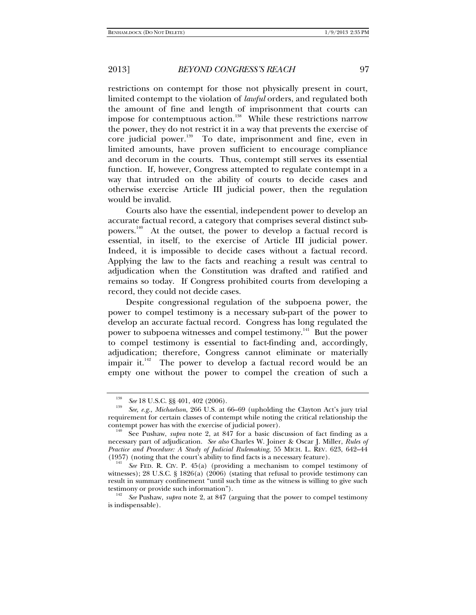restrictions on contempt for those not physically present in court, limited contempt to the violation of *lawful* orders, and regulated both the amount of fine and length of imprisonment that courts can impose for contemptuous action.<sup>138</sup> While these restrictions narrow the power, they do not restrict it in a way that prevents the exercise of core judicial power.<sup>139</sup> To date, imprisonment and fine, even in limited amounts, have proven sufficient to encourage compliance and decorum in the courts. Thus, contempt still serves its essential function. If, however, Congress attempted to regulate contempt in a way that intruded on the ability of courts to decide cases and otherwise exercise Article III judicial power, then the regulation would be invalid.

Courts also have the essential, independent power to develop an accurate factual record, a category that comprises several distinct subpowers.<sup>140</sup> At the outset, the power to develop a factual record is essential, in itself, to the exercise of Article III judicial power. Indeed, it is impossible to decide cases without a factual record. Applying the law to the facts and reaching a result was central to adjudication when the Constitution was drafted and ratified and remains so today. If Congress prohibited courts from developing a record, they could not decide cases.

Despite congressional regulation of the subpoena power, the power to compel testimony is a necessary sub-part of the power to develop an accurate factual record. Congress has long regulated the power to subpoena witnesses and compel testimony.<sup>141</sup> But the power to compel testimony is essential to fact-finding and, accordingly, adjudication; therefore, Congress cannot eliminate or materially impair it. $142$  The power to develop a factual record would be an empty one without the power to compel the creation of such a

<sup>138</sup> <sup>138</sup> *See* 18 U.S.C. §§ 401, 402 (2006).

*See, e.g.*, *Michaelson*, 266 U.S. at 66–69 (upholding the Clayton Act's jury trial requirement for certain classes of contempt while noting the critical relationship the

contempt power has with the exercise of judicial power).<br><sup>140</sup> See Pushaw, *supra* note 2, at 847 for a basic discussion of fact finding as a necessary part of adjudication. *See also* Charles W. Joiner & Oscar J. Miller, *Rules of Practice and Procedure: A Study of Judicial Rulemaking*, 55 MICH. L. REV. 623, 642–44 (1957) (noting that the court's ability to find facts is a necessary feature). 141

<sup>&</sup>lt;sup>141</sup> See FED. R. CIV. P. 45(a) (providing a mechanism to compel testimony of witnesses); 28 U.S.C. § 1826(a)  $(2006)$  (stating that refusal to provide testimony can result in summary confinement "until such time as the witness is willing to give such testimony or provide such information"). 142 *See* Pushaw, *supra* note 2, at 847 (arguing that the power to compel testimony

is indispensable).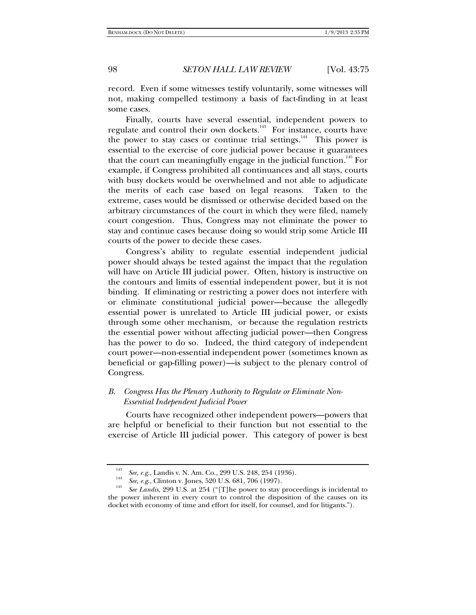record. Even if some witnesses testify voluntarily, some witnesses will not, making compelled testimony a basis of fact-finding in at least some cases.

Finally, courts have several essential, independent powers to regulate and control their own dockets.<sup>143</sup> For instance, courts have the power to stay cases or continue trial settings.<sup>144</sup> This power is essential to the exercise of core judicial power because it guarantees that the court can meaningfully engage in the judicial function.<sup>145</sup> For example, if Congress prohibited all continuances and all stays, courts with busy dockets would be overwhelmed and not able to adjudicate the merits of each case based on legal reasons. Taken to the extreme, cases would be dismissed or otherwise decided based on the arbitrary circumstances of the court in which they were filed, namely court congestion. Thus, Congress may not eliminate the power to stay and continue cases because doing so would strip some Article III courts of the power to decide these cases.

Congress's ability to regulate essential independent judicial power should always be tested against the impact that the regulation will have on Article III judicial power. Often, history is instructive on the contours and limits of essential independent power, but it is not binding. If eliminating or restricting a power does not interfere with or eliminate constitutional judicial power—because the allegedly essential power is unrelated to Article III judicial power, or exists through some other mechanism, or because the regulation restricts the essential power without affecting judicial power—then Congress has the power to do so. Indeed, the third category of independent court power—non-essential independent power (sometimes known as beneficial or gap-filling power)—is subject to the plenary control of Congress.

## *B. Congress Has the Plenary Authority to Regulate or Eliminate Non-Essential Independent Judicial Power*

Courts have recognized other independent powers—powers that are helpful or beneficial to their function but not essential to the exercise of Article III judicial power. This category of power is best

<sup>143</sup> <sup>143</sup> See, e.g., Landis v. N. Am. Co., 299 U.S. 248, 254 (1936).<br><sup>144</sup> See, e.g., Clinton v. Jones, 520 U.S. 681, 706 (1997).

<sup>&</sup>lt;sup>145</sup> *See Landis*, 299 U.S. at 254 ("[T]he power to stay proceedings is incidental to the power inherent in every court to control the disposition of the causes on its docket with economy of time and effort for itself, for counsel, and for litigants.").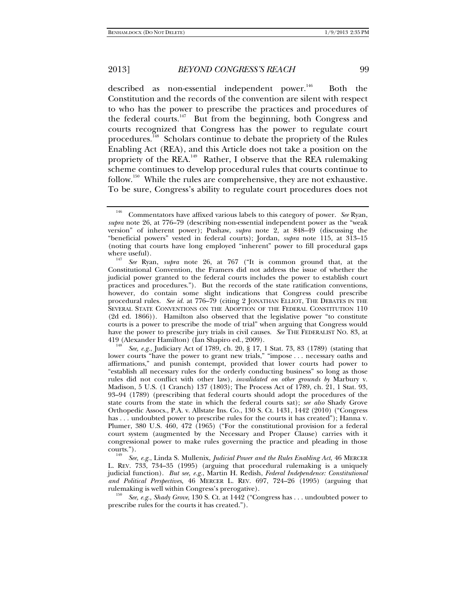described as non-essential independent power. $146$  Both the Constitution and the records of the convention are silent with respect to who has the power to prescribe the practices and procedures of the federal courts.<sup>147</sup> But from the beginning, both Congress and courts recognized that Congress has the power to regulate court procedures.<sup>148</sup> Scholars continue to debate the propriety of the Rules Enabling Act (REA), and this Article does not take a position on the propriety of the REA.<sup>149</sup> Rather, I observe that the REA rulemaking scheme continues to develop procedural rules that courts continue to follow.<sup>150</sup> While the rules are comprehensive, they are not exhaustive. To be sure, Congress's ability to regulate court procedures does not

419 (Alexander Hamilton) (Ian Shapiro ed., 2009). 148 *See, e.g.*, Judiciary Act of 1789, ch. 20, § 17, 1 Stat. 73, 83 (1789) (stating that lower courts "have the power to grant new trials," "impose . . . necessary oaths and affirmations," and punish contempt, provided that lower courts had power to "establish all necessary rules for the orderly conducting business" so long as those rules did not conflict with other law), *invalidated on other grounds by* Marbury v. Madison, 5 U.S. (1 Cranch) 137 (1803); The Process Act of 1789, ch. 21, 1 Stat. 93, 93–94 (1789) (prescribing that federal courts should adopt the procedures of the state courts from the state in which the federal courts sat); *see also* Shady Grove Orthopedic Assocs., P.A. v. Allstate Ins. Co., 130 S. Ct. 1431, 1442 (2010) ("Congress has . . . undoubted power to prescribe rules for the courts it has created"); Hanna v. Plumer, 380 U.S. 460, 472 (1965) ("For the constitutional provision for a federal court system (augmented by the Necessary and Proper Clause) carries with it congressional power to make rules governing the practice and pleading in those courts.").

 *See, e.g.*, Linda S. Mullenix, *Judicial Power and the Rules Enabling Act*, 46 MERCER L. REV. 733, 734–35 (1995) (arguing that procedural rulemaking is a uniquely judicial function). *But see, e.g.*, Martin H. Redish, *Federal Independence: Constitutional and Political Perspectives*, 46 MERCER L. REV. 697, 724–26 (1995) (arguing that rulemaking is well within Congress's prerogative). <sup>150</sup>*See, e.g.*, *Shady Grove*, 130 S. Ct. at 1442 ("Congress has . . . undoubted power to

prescribe rules for the courts it has created.").

<sup>146</sup> Commentators have affixed various labels to this category of power. *See* Ryan, *supra* note 26, at 776–79 (describing non-essential independent power as the "weak version" of inherent power); Pushaw, *supra* note 2, at 848–49 (discussing the "beneficial powers" vested in federal courts); Jordan, *supra* note 115, at 313–15 (noting that courts have long employed "inherent" power to fill procedural gaps where useful). 147 *See* Ryan, *supra* note 26, at 767 ("It is common ground that, at the

Constitutional Convention, the Framers did not address the issue of whether the judicial power granted to the federal courts includes the power to establish court practices and procedures."). But the records of the state ratification conventions, however, do contain some slight indications that Congress could prescribe procedural rules. *See id.* at 776–79 (citing 2 JONATHAN ELLIOT, THE DEBATES IN THE SEVERAL STATE CONVENTIONS ON THE ADOPTION OF THE FEDERAL CONSTITUTION 110 (2d ed. 1866)). Hamilton also observed that the legislative power "to constitute courts is a power to prescribe the mode of trial" when arguing that Congress would have the power to prescribe jury trials in civil causes. *See* THE FEDERALIST NO. 83, at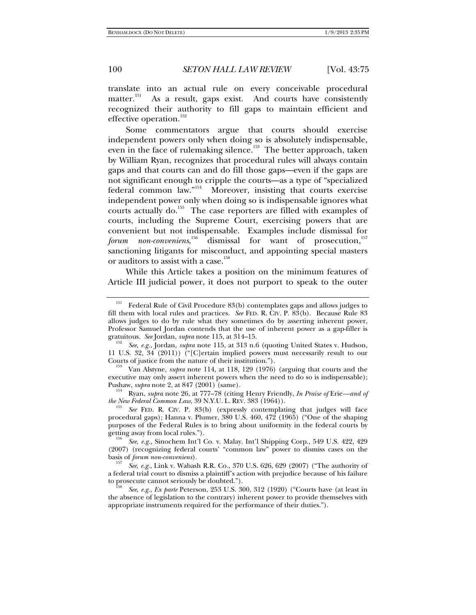translate into an actual rule on every conceivable procedural matter.<sup>151</sup> As a result, gaps exist. And courts have consistently recognized their authority to fill gaps to maintain efficient and effective operation.<sup>152</sup>

Some commentators argue that courts should exercise independent powers only when doing so is absolutely indispensable, even in the face of rulemaking silence.<sup>153</sup> The better approach, taken by William Ryan, recognizes that procedural rules will always contain gaps and that courts can and do fill those gaps—even if the gaps are not significant enough to cripple the courts—as a type of "specialized federal common law."154 Moreover, insisting that courts exercise independent power only when doing so is indispensable ignores what courts actually do.<sup>155</sup> The case reporters are filled with examples of courts, including the Supreme Court, exercising powers that are convenient but not indispensable. Examples include dismissal for forum non-conveniens,<sup>156</sup> dismissal for want of prosecution,<sup>157</sup> sanctioning litigants for misconduct, and appointing special masters or auditors to assist with a case.<sup>158</sup>

While this Article takes a position on the minimum features of Article III judicial power, it does not purport to speak to the outer

<sup>&</sup>lt;sup>151</sup> Federal Rule of Civil Procedure  $83(b)$  contemplates gaps and allows judges to fill them with local rules and practices. *See* FED. R. CIV. P. 83(b). Because Rule 83 allows judges to do by rule what they sometimes do by asserting inherent power, Professor Samuel Jordan contends that the use of inherent power as a gap-filler is gratuitous. See Jordan, *supra* note 115, at 314-15.

*See, e.g.*, Jordan, *supra* note 115, at 313 n.6 (quoting United States v. Hudson, 11 U.S. 32,  $34$  (2011)) ("[C]ertain implied powers must necessarily result to our Courts of justice from the nature of their institution.").

<sup>&</sup>lt;sup>153</sup> Van Alstyne, *supra* note 114, at 118, 129 (1976) (arguing that courts and the executive may only assert inherent powers when the need to do so is indispensable); Pushaw, *supra* note 2, at 847 (2001) (same). 154 Ryan, *supra* note 26, at 777–78 (citing Henry Friendly, *In Praise of* Erie*—and of* 

*the New Federal Common Law*, 39 N.Y.U. L. REV. 383 (1964)).

*See* FED. R. CIV. P. 83(b) (expressly contemplating that judges will face procedural gaps); Hanna v. Plumer, 380 U.S. 460, 472 (1965) ("One of the shaping purposes of the Federal Rules is to bring about uniformity in the federal courts by getting away from local rules.").

*See, e.g.*, Sinochem Int'l Co. v. Malay. Int'l Shipping Corp., 549 U.S. 422, 429 (2007) (recognizing federal courts' "common law" power to dismiss cases on the basis of *forum non-conveniens*).

*See, e.g.*, Link v. Wabash R.R. Co., 370 U.S. 626, 629 (2007) ("The authority of a federal trial court to dismiss a plaintiff's action with prejudice because of his failure

See, e.g., Ex parte Peterson, 253 U.S. 300, 312 (1920) ("Courts have (at least in the absence of legislation to the contrary) inherent power to provide themselves with appropriate instruments required for the performance of their duties.").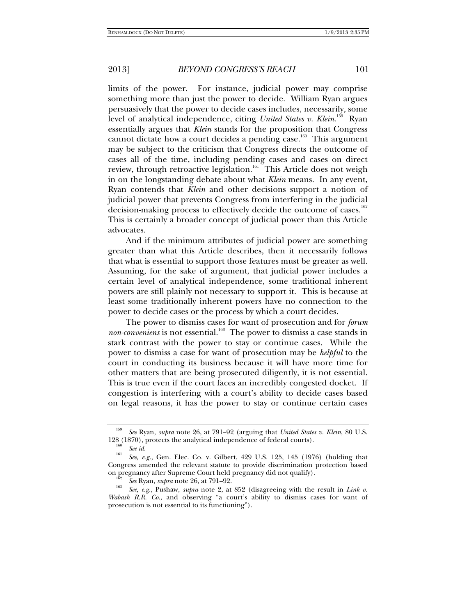limits of the power. For instance, judicial power may comprise something more than just the power to decide. William Ryan argues persuasively that the power to decide cases includes, necessarily, some level of analytical independence, citing *United States v. Klein*. 159 Ryan essentially argues that *Klein* stands for the proposition that Congress cannot dictate how a court decides a pending case.<sup>160</sup> This argument may be subject to the criticism that Congress directs the outcome of cases all of the time, including pending cases and cases on direct review, through retroactive legislation.<sup>161</sup> This Article does not weigh in on the longstanding debate about what *Klein* means. In any event, Ryan contends that *Klein* and other decisions support a notion of judicial power that prevents Congress from interfering in the judicial decision-making process to effectively decide the outcome of cases.<sup>162</sup> This is certainly a broader concept of judicial power than this Article advocates.

And if the minimum attributes of judicial power are something greater than what this Article describes, then it necessarily follows that what is essential to support those features must be greater as well. Assuming, for the sake of argument, that judicial power includes a certain level of analytical independence, some traditional inherent powers are still plainly not necessary to support it. This is because at least some traditionally inherent powers have no connection to the power to decide cases or the process by which a court decides.

The power to dismiss cases for want of prosecution and for *forum non-conveniens* is not essential.<sup>163</sup> The power to dismiss a case stands in stark contrast with the power to stay or continue cases. While the power to dismiss a case for want of prosecution may be *helpful* to the court in conducting its business because it will have more time for other matters that are being prosecuted diligently, it is not essential. This is true even if the court faces an incredibly congested docket. If congestion is interfering with a court's ability to decide cases based on legal reasons, it has the power to stay or continue certain cases

<sup>159</sup> *See* Ryan, *supra* note 26, at 791–92 (arguing that *United States v. Klein*, 80 U.S. 128 (1870), protects the analytical independence of federal courts).<br>
See id.

<sup>&</sup>lt;sup>161</sup> See, e.g., Gen. Elec. Co. v. Gilbert, 429 U.S. 125, 145 (1976) (holding that Congress amended the relevant statute to provide discrimination protection based on pregnancy after Supreme Court held pregnancy did not qualify).<br>
See Ryan, *supra* note 26, at 791–92.

<sup>&</sup>lt;sup>163</sup> *See, e.g.*, Pushaw, *supra* note 2, at 852 (disagreeing with the result in *Link v. Wabash R.R. Co.*, and observing "a court's ability to dismiss cases for want of prosecution is not essential to its functioning").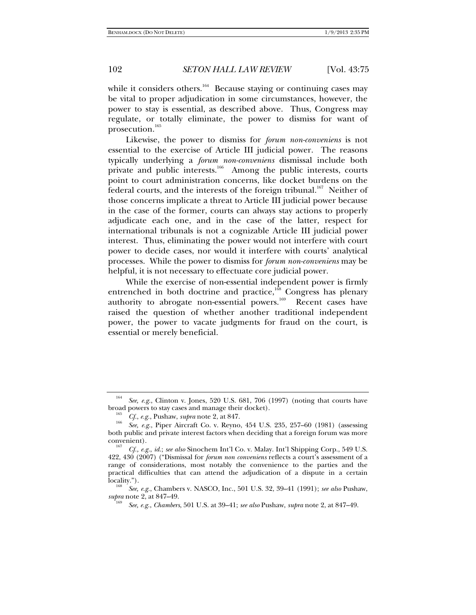while it considers others.<sup>164</sup> Because staying or continuing cases may be vital to proper adjudication in some circumstances, however, the power to stay is essential, as described above. Thus, Congress may regulate, or totally eliminate, the power to dismiss for want of prosecution.<sup>165</sup>

Likewise, the power to dismiss for *forum non-conveniens* is not essential to the exercise of Article III judicial power. The reasons typically underlying a *forum non-conveniens* dismissal include both private and public interests.<sup>166</sup> Among the public interests, courts point to court administration concerns, like docket burdens on the federal courts, and the interests of the foreign tribunal.<sup>167</sup> Neither of those concerns implicate a threat to Article III judicial power because in the case of the former, courts can always stay actions to properly adjudicate each one, and in the case of the latter, respect for international tribunals is not a cognizable Article III judicial power interest. Thus, eliminating the power would not interfere with court power to decide cases, nor would it interfere with courts' analytical processes. While the power to dismiss for *forum non-conveniens* may be helpful, it is not necessary to effectuate core judicial power.

While the exercise of non-essential independent power is firmly entrenched in both doctrine and practice,<sup>168</sup> Congress has plenary authority to abrogate non-essential powers.<sup>169</sup> Recent cases have raised the question of whether another traditional independent power, the power to vacate judgments for fraud on the court, is essential or merely beneficial.

<sup>164</sup> *See, e.g.*, Clinton v. Jones, 520 U.S. 681, 706 (1997) (noting that courts have broad powers to stay cases and manage their docket). 165 *Cf.*, *e.g.*, Pushaw, *supra* note 2, at 847. 166

<sup>&</sup>lt;sup>166</sup> See, e.g., Piper Aircraft Co. v. Reyno, 454 U.S. 235, 257–60 (1981) (assessing both public and private interest factors when deciding that a foreign forum was more convenient).

*Cf., e.g.*, *id.*; *see also* Sinochem Int'l Co. v. Malay. Int'l Shipping Corp., 549 U.S. 422, 430 (2007) ("Dismissal for *forum non conveniens* reflects a court's assessment of a range of considerations, most notably the convenience to the parties and the practical difficulties that can attend the adjudication of a dispute in a certain locality.").

*See, e.g.*, Chambers v. NASCO, Inc., 501 U.S. 32, 39–41 (1991); *see also* Pushaw, *supra* note 2, at 847-49.

*See, e.g.*, *Chambers*, 501 U.S. at 39–41; *see also* Pushaw, *supra* note 2, at 847–49.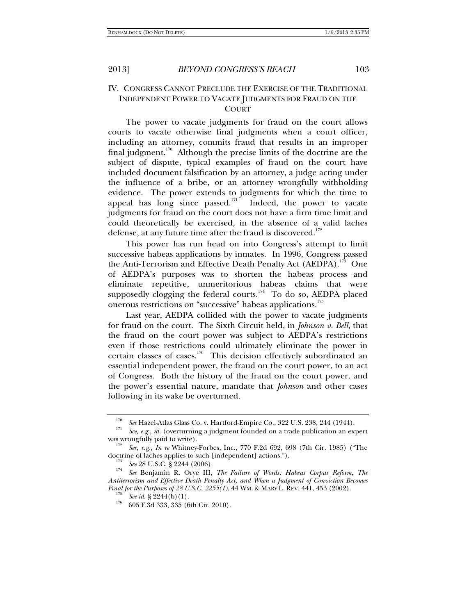# IV. CONGRESS CANNOT PRECLUDE THE EXERCISE OF THE TRADITIONAL INDEPENDENT POWER TO VACATE JUDGMENTS FOR FRAUD ON THE

#### **COURT**

The power to vacate judgments for fraud on the court allows courts to vacate otherwise final judgments when a court officer, including an attorney, commits fraud that results in an improper final judgment.<sup>170</sup> Although the precise limits of the doctrine are the subject of dispute, typical examples of fraud on the court have included document falsification by an attorney, a judge acting under the influence of a bribe, or an attorney wrongfully withholding evidence. The power extends to judgments for which the time to appeal has long since passed. $\overline{171}$  Indeed, the power to vacate judgments for fraud on the court does not have a firm time limit and could theoretically be exercised, in the absence of a valid laches defense, at any future time after the fraud is discovered.<sup>172</sup>

This power has run head on into Congress's attempt to limit successive habeas applications by inmates. In 1996, Congress passed the Anti-Terrorism and Effective Death Penalty Act (AEDPA).<sup>173</sup> One of AEDPA's purposes was to shorten the habeas process and eliminate repetitive, unmeritorious habeas claims that were supposedly clogging the federal courts.<sup>174</sup> To do so, AEDPA placed onerous restrictions on "successive" habeas applications.175

Last year, AEDPA collided with the power to vacate judgments for fraud on the court. The Sixth Circuit held, in *Johnson v. Bell*, that the fraud on the court power was subject to AEDPA's restrictions even if those restrictions could ultimately eliminate the power in certain classes of cases.<sup>176</sup> This decision effectively subordinated an essential independent power, the fraud on the court power, to an act of Congress. Both the history of the fraud on the court power, and the power's essential nature, mandate that *Johnson* and other cases following in its wake be overturned.

<sup>170</sup>

<sup>&</sup>lt;sup>171</sup> *See* Hazel-Atlas Glass Co. v. Hartford-Empire Co., 322 U.S. 238, 244 (1944). <sup>171</sup> *See, e.g., id.* (overturning a judgment founded on a trade publication an expert was wrongfully paid to write).

See, e.g., *In re* Whitney-Forbes, Inc., 770 F.2d 692, 698 (7th Cir. 1985) ("The doctrine of laches applies to such [independent] actions.").<br><sup>173</sup> *See* 28 U.S.C. § 2244 (2006).

*See* Benjamin R. Orye III, *The Failure of Words: Habeas Corpus Reform, The Antiterrorism and Effective Death Penalty Act, and When a Judgment of Conviction Becomes Final for the Purposes of 28 U.S.C. 2255(1)*, 44 WM. & MARY L. REV. 441, 453 (2002).<br><sup>175</sup> *See id.* § 2244(b)(1).<br><sup>176</sup> 605 F.3d 333, 335 (6th Cir. 2010).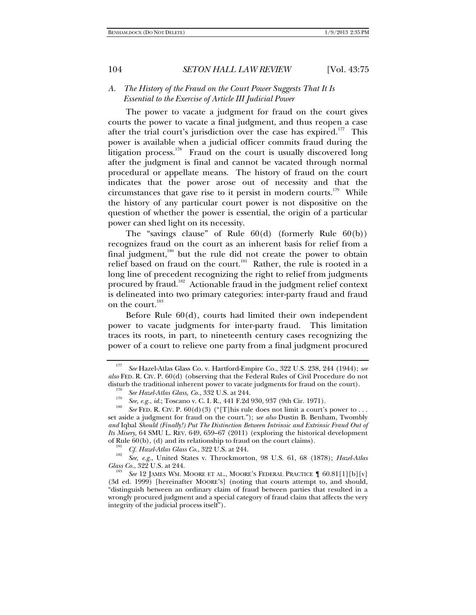### *A. The History of the Fraud on the Court Power Suggests That It Is Essential to the Exercise of Article III Judicial Power*

The power to vacate a judgment for fraud on the court gives courts the power to vacate a final judgment, and thus reopen a case after the trial court's jurisdiction over the case has expired.<sup>177</sup> This power is available when a judicial officer commits fraud during the litigation process.<sup>178</sup> Fraud on the court is usually discovered long after the judgment is final and cannot be vacated through normal procedural or appellate means. The history of fraud on the court indicates that the power arose out of necessity and that the circumstances that gave rise to it persist in modern courts.<sup>179</sup> While the history of any particular court power is not dispositive on the question of whether the power is essential, the origin of a particular power can shed light on its necessity.

The "savings clause" of Rule 60(d) (formerly Rule 60(b)) recognizes fraud on the court as an inherent basis for relief from a final judgment, $180$  but the rule did not create the power to obtain relief based on fraud on the court.<sup>181</sup> Rather, the rule is rooted in a long line of precedent recognizing the right to relief from judgments procured by fraud.182 Actionable fraud in the judgment relief context is delineated into two primary categories: inter-party fraud and fraud on the court.<sup>183</sup>

Before Rule 60(d), courts had limited their own independent power to vacate judgments for inter-party fraud. This limitation traces its roots, in part, to nineteenth century cases recognizing the power of a court to relieve one party from a final judgment procured

<sup>177</sup> *See* Hazel-Atlas Glass Co. v. Hartford-Empire Co., 322 U.S. 238, 244 (1944); *see also* FED. R. CIV. P. 60(d) (observing that the Federal Rules of Civil Procedure do not disturb the traditional inherent power to vacate judgments for fraud on the court).<br><sup>178</sup> *See Hazel-Atlas Glass, Co.*, 332 U.S. at 244.

*See, e.g., id.*; Toscano v. C. I. R., 441 F.2d 930, 937 (9th Cir. 1971).

<sup>&</sup>lt;sup>180</sup> *See* FED. R. CIV. P. 60(d)(3) ("[T]his rule does not limit a court's power to . . . set aside a judgment for fraud on the court."); *see also* Dustin B. Benham, Twombly *and* Iqbal *Should (Finally!) Put The Distinction Between Intrinsic and Extrinsic Fraud Out of Its Misery*, 64 SMU L. REV. 649, 659–67 (2011) (exploring the historical development of Rule  $60(b)$ , (d) and its relationship to fraud on the court claims).

<sup>&</sup>lt;sup>181</sup> *Cf. Hazel-Atlas Glass Co.*, 322 U.S. at 244.

*See, e.g.*, United States v. Throckmorton, 98 U.S. 61, 68 (1878); *Hazel-Atlas Glass Co.*, 322 U.S. at 244.

*See* 12 JAMES WM. MOORE ET AL., MOORE'S FEDERAL PRACTICE ¶ 60.81[1][b][v] (3d ed. 1999) [hereinafter MOORE'S] (noting that courts attempt to, and should, "distinguish between an ordinary claim of fraud between parties that resulted in a wrongly procured judgment and a special category of fraud claim that affects the very integrity of the judicial process itself").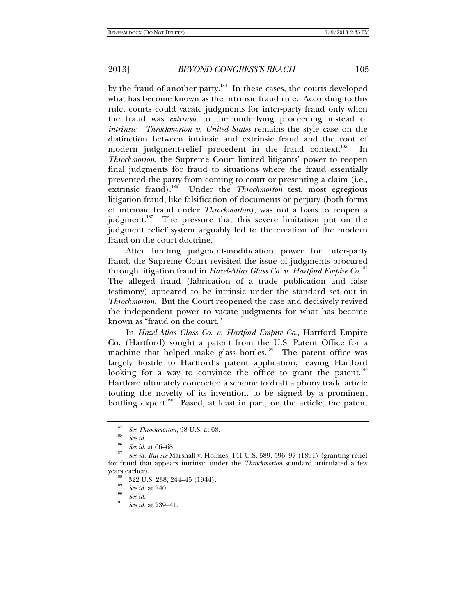by the fraud of another party. $184$  In these cases, the courts developed what has become known as the intrinsic fraud rule. According to this rule, courts could vacate judgments for inter-party fraud only when the fraud was *extrinsic* to the underlying proceeding instead of *intrinsic*. *Throckmorton v. United States* remains the style case on the distinction between intrinsic and extrinsic fraud and the root of modern judgment-relief precedent in the fraud context.<sup>185</sup> In *Throckmorton*, the Supreme Court limited litigants' power to reopen final judgments for fraud to situations where the fraud essentially prevented the party from coming to court or presenting a claim (i.e., extrinsic fraud).<sup>186</sup> Under the *Throckmorton* test, most egregious litigation fraud, like falsification of documents or perjury (both forms of intrinsic fraud under *Throckmorton*), was not a basis to reopen a judgment.<sup>187</sup> The pressure that this severe limitation put on the judgment relief system arguably led to the creation of the modern fraud on the court doctrine.

After limiting judgment-modification power for inter-party fraud, the Supreme Court revisited the issue of judgments procured through litigation fraud in *Hazel-Atlas Glass Co. v. Hartford Empire Co.*<sup>188</sup> The alleged fraud (fabrication of a trade publication and false testimony) appeared to be intrinsic under the standard set out in *Throckmorton*. But the Court reopened the case and decisively revived the independent power to vacate judgments for what has become known as "fraud on the court."

In *Hazel-Atlas Glass Co. v. Hartford Empire Co*., Hartford Empire Co. (Hartford) sought a patent from the U.S. Patent Office for a machine that helped make glass bottles.<sup>189</sup> The patent office was largely hostile to Hartford's patent application, leaving Hartford looking for a way to convince the office to grant the patent.<sup>190</sup> Hartford ultimately concocted a scheme to draft a phony trade article touting the novelty of its invention, to be signed by a prominent bottling expert.<sup>191</sup> Based, at least in part, on the article, the patent

<sup>184</sup> <sup>184</sup> *See Throckmorton*, 98 U.S. at 68.<br><sup>185</sup> *See id.*<br><sup>186</sup> *See id.* at 66–68.

*See id. But see* Marshall v. Holmes, 141 U.S. 589, 596–97 (1891) (granting relief for fraud that appears intrinsic under the *Throckmorton* standard articulated a few years earlier).<br><sup>188</sup> 322 U.S. 238, 244–45 (1944).

<sup>&</sup>lt;sup>189</sup> *See id.* at 240.<br><sup>190</sup> *See id.* 191

*See id.* at 239–41.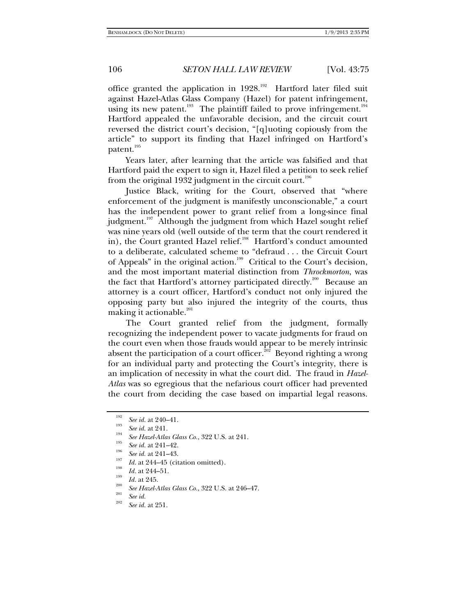office granted the application in  $1928$ <sup>192</sup> Hartford later filed suit against Hazel-Atlas Glass Company (Hazel) for patent infringement, using its new patent.<sup>193</sup> The plaintiff failed to prove infringement.<sup>194</sup> Hartford appealed the unfavorable decision, and the circuit court reversed the district court's decision, "[q]uoting copiously from the article" to support its finding that Hazel infringed on Hartford's patent.<sup>195</sup>

Years later, after learning that the article was falsified and that Hartford paid the expert to sign it, Hazel filed a petition to seek relief from the original 1932 judgment in the circuit court.<sup>196</sup>

Justice Black, writing for the Court, observed that "where enforcement of the judgment is manifestly unconscionable," a court has the independent power to grant relief from a long-since final judgment.<sup>197</sup> Although the judgment from which Hazel sought relief was nine years old (well outside of the term that the court rendered it in), the Court granted Hazel relief.<sup>198</sup> Hartford's conduct amounted to a deliberate, calculated scheme to "defraud . . . the Circuit Court of Appeals" in the original action.<sup>199</sup> Critical to the Court's decision, and the most important material distinction from *Throckmorton*, was the fact that Hartford's attorney participated directly.<sup>200</sup> Because an attorney is a court officer, Hartford's conduct not only injured the opposing party but also injured the integrity of the courts, thus making it actionable.<sup>201</sup>

The Court granted relief from the judgment, formally recognizing the independent power to vacate judgments for fraud on the court even when those frauds would appear to be merely intrinsic absent the participation of a court officer.<sup>202</sup> Beyond righting a wrong for an individual party and protecting the Court's integrity, there is an implication of necessity in what the court did. The fraud in *Hazel-Atlas* was so egregious that the nefarious court officer had prevented the court from deciding the case based on impartial legal reasons.

<sup>&</sup>lt;sup>192</sup> *See id.* at 240–41.

 $\frac{193}{194}$  *See id.* at 241.

*See Hazel-Atlas Glass Co.*, 322 U.S. at 241.<br>*See id.* at 241–42. *See id.* at 241–43.

*Ig. Id.* at 244–45 (citation omitted).<br> *Id.* at 244–51.<br> *Id.* at 245.

<sup>&</sup>lt;sup>200</sup> *See Hazel-Atlas Glass Co.*, 322 U.S. at 246–47.<br><sup>201</sup> *See id.* 202

*See id.* at 251.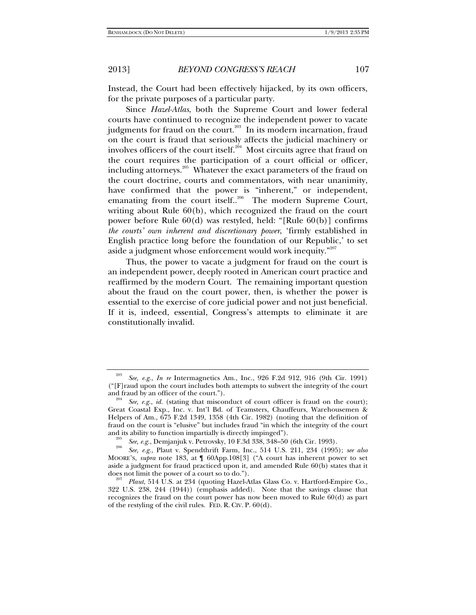Instead, the Court had been effectively hijacked, by its own officers, for the private purposes of a particular party.

Since *Hazel-Atlas*, both the Supreme Court and lower federal courts have continued to recognize the independent power to vacate judgments for fraud on the court.<sup>203</sup> In its modern incarnation, fraud on the court is fraud that seriously affects the judicial machinery or involves officers of the court itself. $^{204}$  Most circuits agree that fraud on the court requires the participation of a court official or officer, including attorneys.<sup>205</sup> Whatever the exact parameters of the fraud on the court doctrine, courts and commentators, with near unanimity, have confirmed that the power is "inherent," or independent, emanating from the court itself..<sup>206</sup> The modern Supreme Court, writing about Rule 60(b), which recognized the fraud on the court power before Rule 60(d) was restyled, held: "[Rule 60(b)] confirms *the courts' own inherent and discretionary power*, 'firmly established in English practice long before the foundation of our Republic,' to set aside a judgment whose enforcement would work inequity."<sup>207</sup>

Thus, the power to vacate a judgment for fraud on the court is an independent power, deeply rooted in American court practice and reaffirmed by the modern Court. The remaining important question about the fraud on the court power, then, is whether the power is essential to the exercise of core judicial power and not just beneficial. If it is, indeed, essential, Congress's attempts to eliminate it are constitutionally invalid.

<sup>203</sup> *See, e.g.*, *In re* Intermagnetics Am., Inc., 926 F.2d 912, 916 (9th Cir. 1991) (" $[F]$  raud upon the court includes both attempts to subvert the integrity of the court and fraud by an officer of the court.").

<sup>&</sup>lt;sup>204</sup> See, e.g., *id.* (stating that misconduct of court officer is fraud on the court); Great Coastal Exp., Inc. v. Int'l Bd. of Teamsters, Chauffeurs, Warehousemen & Helpers of Am., 675 F.2d 1349, 1358 (4th Cir. 1982) (noting that the definition of fraud on the court is "elusive" but includes fraud "in which the integrity of the court and its ability to function impartially is directly impinged").<br><sup>205</sup> See, e.g., Demjanjuk v. Petrovsky, 10 F.3d 338, 348–50 (6th Cir. 1993).

*See, e.g.*, Demjanjuk v. Petrovsky, 10 F.3d 338, 348–50 (6th Cir. 1993). 206 *See, e.g.*, Plaut v. Spendthrift Farm, Inc., 514 U.S. 211, 234 (1995); *see also*  MOORE'S, *supra* note 183, at ¶ 60App.108[3] ("A court has inherent power to set aside a judgment for fraud practiced upon it, and amended Rule 60(b) states that it

does not limit the power of a court so to do."). 207 *Plaut*, 514 U.S. at 234 (quoting Hazel-Atlas Glass Co. v. Hartford-Empire Co., 322 U.S. 238, 244 (1944)) (emphasis added). Note that the savings clause that recognizes the fraud on the court power has now been moved to Rule 60(d) as part of the restyling of the civil rules. FED. R. CIV. P. 60(d).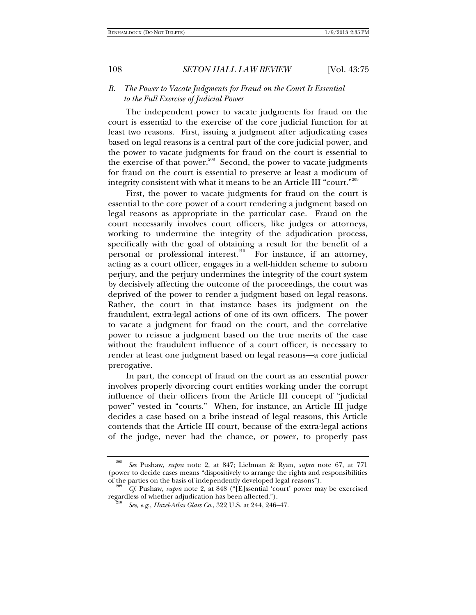### *B. The Power to Vacate Judgments for Fraud on the Court Is Essential to the Full Exercise of Judicial Power*

The independent power to vacate judgments for fraud on the court is essential to the exercise of the core judicial function for at least two reasons. First, issuing a judgment after adjudicating cases based on legal reasons is a central part of the core judicial power, and the power to vacate judgments for fraud on the court is essential to the exercise of that power. $208$  Second, the power to vacate judgments for fraud on the court is essential to preserve at least a modicum of integrity consistent with what it means to be an Article III "court."209

First, the power to vacate judgments for fraud on the court is essential to the core power of a court rendering a judgment based on legal reasons as appropriate in the particular case. Fraud on the court necessarily involves court officers, like judges or attorneys, working to undermine the integrity of the adjudication process, specifically with the goal of obtaining a result for the benefit of a personal or professional interest.<sup>210</sup> For instance, if an attorney, acting as a court officer, engages in a well-hidden scheme to suborn perjury, and the perjury undermines the integrity of the court system by decisively affecting the outcome of the proceedings, the court was deprived of the power to render a judgment based on legal reasons. Rather, the court in that instance bases its judgment on the fraudulent, extra-legal actions of one of its own officers. The power to vacate a judgment for fraud on the court, and the correlative power to reissue a judgment based on the true merits of the case without the fraudulent influence of a court officer, is necessary to render at least one judgment based on legal reasons—a core judicial prerogative.

In part, the concept of fraud on the court as an essential power involves properly divorcing court entities working under the corrupt influence of their officers from the Article III concept of "judicial power" vested in "courts." When, for instance, an Article III judge decides a case based on a bribe instead of legal reasons, this Article contends that the Article III court, because of the extra-legal actions of the judge, never had the chance, or power, to properly pass

<sup>208</sup> *See* Pushaw, *supra* note 2, at 847; Liebman & Ryan, *supra* note 67, at 771 (power to decide cases means "dispositively to arrange the rights and responsibilities of the parties on the basis of independently developed legal reasons").

*Cf.* Pushaw, *supra* note 2, at 848 ("[E]ssential 'court' power may be exercised regardless of whether adjudication has been affected.").

*See, e.g.*, *Hazel-Atlas Glass Co.*, 322 U.S. at 244, 246–47.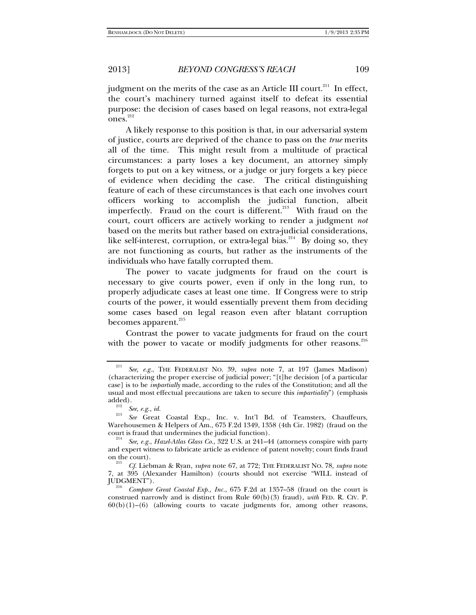judgment on the merits of the case as an Article III court.<sup>211</sup> In effect, the court's machinery turned against itself to defeat its essential purpose: the decision of cases based on legal reasons, not extra-legal  $ones.<sup>212</sup>$ 

A likely response to this position is that, in our adversarial system of justice, courts are deprived of the chance to pass on the *true* merits all of the time. This might result from a multitude of practical circumstances: a party loses a key document, an attorney simply forgets to put on a key witness, or a judge or jury forgets a key piece of evidence when deciding the case. The critical distinguishing feature of each of these circumstances is that each one involves court officers working to accomplish the judicial function, albeit imperfectly. Fraud on the court is different.<sup>213</sup> With fraud on the court, court officers are actively working to render a judgment *not* based on the merits but rather based on extra-judicial considerations, like self-interest, corruption, or extra-legal bias.<sup>214</sup> By doing so, they are not functioning as courts, but rather as the instruments of the individuals who have fatally corrupted them.

The power to vacate judgments for fraud on the court is necessary to give courts power, even if only in the long run, to properly adjudicate cases at least one time. If Congress were to strip courts of the power, it would essentially prevent them from deciding some cases based on legal reason even after blatant corruption becomes apparent.<sup>215</sup>

Contrast the power to vacate judgments for fraud on the court with the power to vacate or modify judgments for other reasons.<sup>216</sup>

<sup>211</sup> *See, e.g.*, THE FEDERALIST NO. 39, *supra* note 7, at 197 (James Madison) (characterizing the proper exercise of judicial power; "[t]he decision [of a particular case] is to be *impartially* made, according to the rules of the Constitution; and all the usual and most effectual precautions are taken to secure this *impartiality*") (emphasis

<sup>&</sup>lt;sup>212</sup> See, e.g., *id.*<br><sup>213</sup> See Great Coastal Exp., Inc. v. Int'l Bd. of Teamsters, Chauffeurs, Warehousemen & Helpers of Am., 675 F.2d 1349, 1358 (4th Cir. 1982) (fraud on the court is fraud that undermines the judicial function).

*See, e.g.*, *Hazel-Atlas Glass Co.*, 322 U.S. at 241–44 (attorneys conspire with party and expert witness to fabricate article as evidence of patent novelty; court finds fraud on the court).

*Cf.* Liebman & Ryan, *supra* note 67, at 772; THE FEDERALIST NO. 78, *supra* note 7, at 395 (Alexander Hamilton) (courts should not exercise "WILL instead of

Compare Great Coastal Exp., Inc., 675 F.2d at 1357–58 (fraud on the court is construed narrowly and is distinct from Rule 60(b)(3) fraud), *with* FED. R. CIV. P.  $60(b)(1)$ – $(6)$  (allowing courts to vacate judgments for, among other reasons,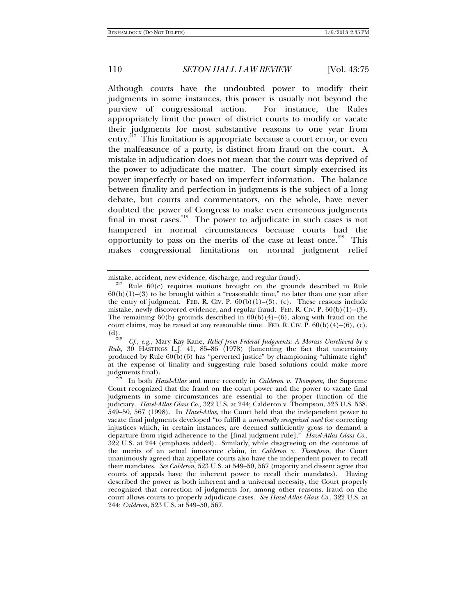Although courts have the undoubted power to modify their judgments in some instances, this power is usually not beyond the purview of congressional action. For instance, the Rules appropriately limit the power of district courts to modify or vacate their judgments for most substantive reasons to one year from entry.<sup>217</sup> This limitation is appropriate because a court error, or even the malfeasance of a party, is distinct from fraud on the court. A mistake in adjudication does not mean that the court was deprived of the power to adjudicate the matter. The court simply exercised its power imperfectly or based on imperfect information. The balance between finality and perfection in judgments is the subject of a long debate, but courts and commentators, on the whole, have never doubted the power of Congress to make even erroneous judgments final in most cases.<sup>218</sup> The power to adjudicate in such cases is not hampered in normal circumstances because courts had the opportunity to pass on the merits of the case at least once.<sup>219</sup> This makes congressional limitations on normal judgment relief

mistake, accident, new evidence, discharge, and regular fraud).<br><sup>217</sup> Rule 60(c) requires motions brought on the grounds described in Rule  $60(b)(1)$ –(3) to be brought within a "reasonable time," no later than one year after the entry of judgment. FED. R. CIV. P.  $60(b)(1)-(3)$ , (c). These reasons include mistake, newly discovered evidence, and regular fraud. FED. R. CIV. P.  $60(b)(1)$ – $(3)$ . The remaining  $60(b)$  grounds described in  $60(b)(4)$ – $(6)$ , along with fraud on the court claims, may be raised at any reasonable time. FED. R. CIV. P.  $60(b)(4)-(6)$ , (c), (d).<br>
<sup>218</sup>

<sup>(</sup>d). 218 *Cf., e.g.*, Mary Kay Kane, *Relief from Federal Judgments: A Morass Unrelieved by a Rule*, 30 HASTINGS L.J. 41, 85–86 (1978) (lamenting the fact that uncertainty produced by Rule 60(b)(6) has "perverted justice" by championing "ultimate right" at the expense of finality and suggesting rule based solutions could make more judgments final). 219 In both *Hazel-Atlas* and more recently in *Calderon v. Thompson*, the Supreme

Court recognized that the fraud on the court power and the power to vacate final judgments in some circumstances are essential to the proper function of the judiciary. *Hazel-Atlas Glass Co*., 322 U.S. at 244; Calderon v. Thompson, 523 U.S. 538, 549–50, 567 (1998). In *Hazel-Atlas*, the Court held that the independent power to vacate final judgments developed "to fulfill a *universally recognized need* for correcting injustices which, in certain instances, are deemed sufficiently gross to demand a departure from rigid adherence to the [final judgment rule]." *Hazel-Atlas Glass Co.*, 322 U.S. at 244 (emphasis added). Similarly, while disagreeing on the outcome of the merits of an actual innocence claim, in *Calderon v. Thompson*, the Court unanimously agreed that appellate courts also have the independent power to recall their mandates. *See Calderon*, 523 U.S. at 549–50, 567 (majority and dissent agree that courts of appeals have the inherent power to recall their mandates). Having described the power as both inherent and a universal necessity, the Court properly recognized that correction of judgments for, among other reasons, fraud on the court allows courts to properly adjudicate cases. *See Hazel-Atlas Glass Co.*, 322 U.S. at 244; *Calderon*, 523 U.S. at 549–50, 567.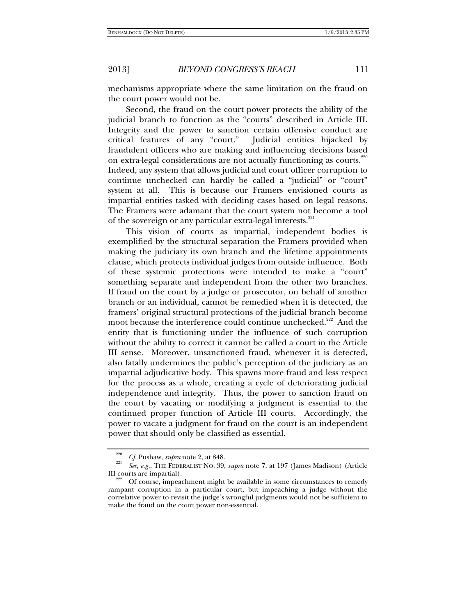mechanisms appropriate where the same limitation on the fraud on the court power would not be.

Second, the fraud on the court power protects the ability of the judicial branch to function as the "courts" described in Article III. Integrity and the power to sanction certain offensive conduct are critical features of any "court." Judicial entities hijacked by fraudulent officers who are making and influencing decisions based on extra-legal considerations are not actually functioning as courts.<sup>220</sup> Indeed, any system that allows judicial and court officer corruption to continue unchecked can hardly be called a "judicial" or "court" system at all. This is because our Framers envisioned courts as impartial entities tasked with deciding cases based on legal reasons. The Framers were adamant that the court system not become a tool of the sovereign or any particular extra-legal interests.<sup>221</sup>

This vision of courts as impartial, independent bodies is exemplified by the structural separation the Framers provided when making the judiciary its own branch and the lifetime appointments clause, which protects individual judges from outside influence. Both of these systemic protections were intended to make a "court" something separate and independent from the other two branches. If fraud on the court by a judge or prosecutor, on behalf of another branch or an individual, cannot be remedied when it is detected, the framers' original structural protections of the judicial branch become moot because the interference could continue unchecked.<sup>222</sup> And the entity that is functioning under the influence of such corruption without the ability to correct it cannot be called a court in the Article III sense. Moreover, unsanctioned fraud, whenever it is detected, also fatally undermines the public's perception of the judiciary as an impartial adjudicative body. This spawns more fraud and less respect for the process as a whole, creating a cycle of deteriorating judicial independence and integrity. Thus, the power to sanction fraud on the court by vacating or modifying a judgment is essential to the continued proper function of Article III courts. Accordingly, the power to vacate a judgment for fraud on the court is an independent power that should only be classified as essential.

<sup>&</sup>lt;sup>220</sup> *Cf.* Pushaw, *supra* note 2, at 848.

*See, e.g.*, THE FEDERALIST NO. 39, *supra* note 7, at 197 (James Madison) (Article III courts are impartial).<br><sup>222</sup> Of course, impeachment might be available in some circumstances to remedy

rampant corruption in a particular court, but impeaching a judge without the correlative power to revisit the judge's wrongful judgments would not be sufficient to make the fraud on the court power non-essential.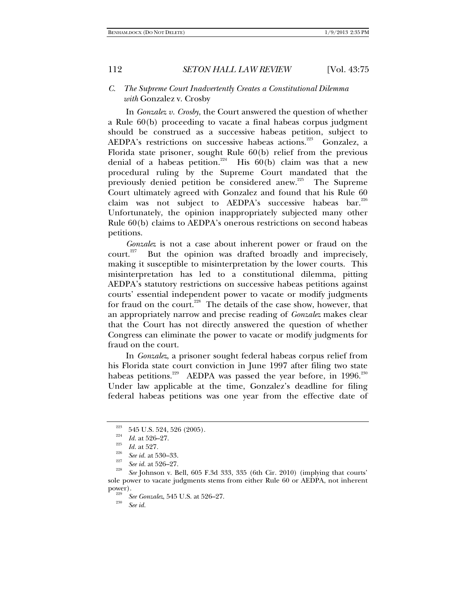### *C. The Supreme Court Inadvertently Creates a Constitutional Dilemma with* Gonzalez v. Crosby

In *Gonzalez v. Crosby*, the Court answered the question of whether a Rule 60(b) proceeding to vacate a final habeas corpus judgment should be construed as a successive habeas petition, subject to AEDPA's restrictions on successive habeas actions.<sup>223</sup> Gonzalez, a Florida state prisoner, sought Rule 60(b) relief from the previous denial of a habeas petition.<sup>224</sup> His  $60(b)$  claim was that a new procedural ruling by the Supreme Court mandated that the previously denied petition be considered anew.225 The Supreme Court ultimately agreed with Gonzalez and found that his Rule 60 claim was not subject to AEDPA's successive habeas bar.<sup>226</sup> Unfortunately, the opinion inappropriately subjected many other Rule 60(b) claims to AEDPA's onerous restrictions on second habeas petitions.

*Gonzalez* is not a case about inherent power or fraud on the court. $227$  But the opinion was drafted broadly and imprecisely, making it susceptible to misinterpretation by the lower courts. This misinterpretation has led to a constitutional dilemma, pitting AEDPA's statutory restrictions on successive habeas petitions against courts' essential independent power to vacate or modify judgments for fraud on the court.<sup>228</sup> The details of the case show, however, that an appropriately narrow and precise reading of *Gonzalez* makes clear that the Court has not directly answered the question of whether Congress can eliminate the power to vacate or modify judgments for fraud on the court.

In *Gonzalez*, a prisoner sought federal habeas corpus relief from his Florida state court conviction in June 1997 after filing two state habeas petitions.<sup>229</sup> AEDPA was passed the year before, in  $1996$ .<sup>230</sup> Under law applicable at the time, Gonzalez's deadline for filing federal habeas petitions was one year from the effective date of

*See id.*

<sup>&</sup>lt;sup>223</sup> 545 U.S. 524, 526 (2005).<br> *Id.* at 526–27.<br> *Id.* at 527.<br>
<sup>226</sup> *See id.* at 530–33.

*See id.* at 530–33. 227 *See id.* at 526–27. 228

*See* Johnson v. Bell, 605 F.3d 333, 335 (6th Cir. 2010) (implying that courts' sole power to vacate judgments stems from either Rule 60 or AEDPA, not inherent

<sup>&</sup>lt;sup>229</sup> *See Gonzalez*, 545 U.S. at 526–27.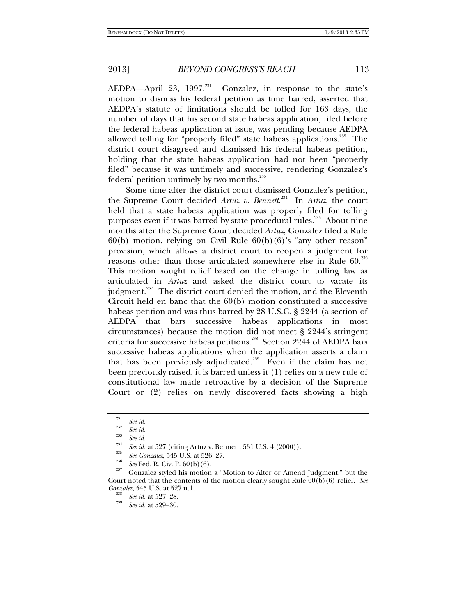AEDPA—April 23, 1997.<sup>231</sup> Gonzalez, in response to the state's motion to dismiss his federal petition as time barred, asserted that AEDPA's statute of limitations should be tolled for 163 days, the number of days that his second state habeas application, filed before the federal habeas application at issue, was pending because AEDPA allowed tolling for "properly filed" state habeas applications.<sup>232</sup> The district court disagreed and dismissed his federal habeas petition, holding that the state habeas application had not been "properly filed" because it was untimely and successive, rendering Gonzalez's federal petition untimely by two months.<sup>233</sup>

Some time after the district court dismissed Gonzalez's petition, the Supreme Court decided *Artuz v. Bennett*. 234 In *Artuz*, the court held that a state habeas application was properly filed for tolling purposes even if it was barred by state procedural rules.<sup>235</sup> About nine months after the Supreme Court decided *Artuz*, Gonzalez filed a Rule  $60(b)$  motion, relying on Civil Rule  $60(b)(6)$ 's "any other reason" provision, which allows a district court to reopen a judgment for reasons other than those articulated somewhere else in Rule 60.<sup>236</sup> This motion sought relief based on the change in tolling law as articulated in *Artuz* and asked the district court to vacate its judgment. $237$  The district court denied the motion, and the Eleventh Circuit held en banc that the 60(b) motion constituted a successive habeas petition and was thus barred by 28 U.S.C. § 2244 (a section of AEDPA that bars successive habeas applications in most circumstances) because the motion did not meet § 2244's stringent criteria for successive habeas petitions.<sup>238</sup> Section 2244 of AEDPA bars successive habeas applications when the application asserts a claim that has been previously adjudicated.<sup>239</sup> Even if the claim has not been previously raised, it is barred unless it (1) relies on a new rule of constitutional law made retroactive by a decision of the Supreme Court or (2) relies on newly discovered facts showing a high

<sup>&</sup>lt;sup>231</sup> See id.<br><sup>232</sup> See id.

<sup>&</sup>lt;sup>233</sup> See id.<br><sup>234</sup> See id. at 527 (citing Artuz v. Bennett, 531 U.S. 4 (2000)).<br><sup>235</sup> See Gonzalez, 545 U.S. at 526–27.

<sup>&</sup>lt;sup>236</sup> *See* Fed. R. Civ. P. 60(b)(6). <br><sup>237</sup> Gonzalez styled his motion a "Motion to Alter or Amend Judgment," but the Court noted that the contents of the motion clearly sought Rule 60(b)(6) relief. *See Gonzalez*, 545 U.S. at 527 n.1.<br><sup>238</sup> *See id.* at 527–28.

*See id.* at 529–30.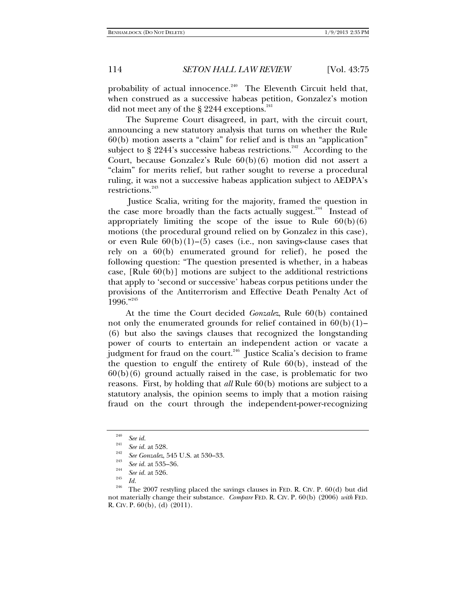probability of actual innocence.<sup>240</sup> The Eleventh Circuit held that, when construed as a successive habeas petition, Gonzalez's motion did not meet any of the  $\S$  2244 exceptions.<sup>241</sup>

The Supreme Court disagreed, in part, with the circuit court, announcing a new statutory analysis that turns on whether the Rule 60(b) motion asserts a "claim" for relief and is thus an "application" subject to  $\S$  2244's successive habeas restrictions.<sup>242</sup> According to the Court, because Gonzalez's Rule 60(b)(6) motion did not assert a "claim" for merits relief, but rather sought to reverse a procedural ruling, it was not a successive habeas application subject to AEDPA's restrictions.<sup>243</sup>

 Justice Scalia, writing for the majority, framed the question in the case more broadly than the facts actually suggest.<sup>244</sup> Instead of appropriately limiting the scope of the issue to Rule  $60(b)(6)$ motions (the procedural ground relied on by Gonzalez in this case), or even Rule  $60(b)(1)$ –(5) cases (i.e., non savings-clause cases that rely on a 60(b) enumerated ground for relief), he posed the following question: "The question presented is whether, in a habeas case, [Rule 60(b)] motions are subject to the additional restrictions that apply to 'second or successive' habeas corpus petitions under the provisions of the Antiterrorism and Effective Death Penalty Act of 1996."<sup>245</sup>

At the time the Court decided *Gonzalez*, Rule 60(b) contained not only the enumerated grounds for relief contained in  $60(b)(1)$ – (6) but also the savings clauses that recognized the longstanding power of courts to entertain an independent action or vacate a judgment for fraud on the court.<sup>246</sup> Justice Scalia's decision to frame the question to engulf the entirety of Rule 60(b), instead of the  $60(b)(6)$  ground actually raised in the case, is problematic for two reasons. First, by holding that *all* Rule 60(b) motions are subject to a statutory analysis, the opinion seems to imply that a motion raising fraud on the court through the independent-power-recognizing

<sup>&</sup>lt;sup>240</sup> *See id.*<br><sup>241</sup> *See id.* at 528.

<sup>&</sup>lt;sup>242</sup> *See Gonzalez*, 545 U.S. at 530–33.<br><sup>243</sup> *See id.* at 535–36.<br><sup>244</sup> *Secular* 502.

<sup>&</sup>lt;sup>244</sup> *See id.* at 526.<br><sup>245</sup> *Id.* 

<sup>&</sup>lt;sup>246</sup> The 2007 restyling placed the savings clauses in FED. R. CIV. P. 60(d) but did not materially change their substance. *Compare* FED. R. CIV. P. 60(b) (2006) *with* FED. R. CIV. P. 60(b), (d) (2011).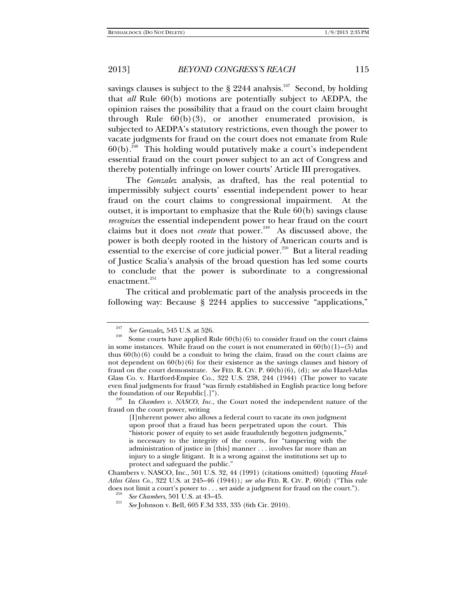savings clauses is subject to the  $\S$  2244 analysis.<sup>247</sup> Second, by holding that *all* Rule 60(b) motions are potentially subject to AEDPA, the opinion raises the possibility that a fraud on the court claim brought through Rule 60(b)(3), or another enumerated provision, is subjected to AEDPA's statutory restrictions, even though the power to vacate judgments for fraud on the court does not emanate from Rule  $60(b)$ <sup>248</sup> This holding would putatively make a court's independent essential fraud on the court power subject to an act of Congress and thereby potentially infringe on lower courts' Article III prerogatives.

The *Gonzalez* analysis, as drafted, has the real potential to impermissibly subject courts' essential independent power to hear fraud on the court claims to congressional impairment. At the outset, it is important to emphasize that the Rule 60(b) savings clause *recognizes* the essential independent power to hear fraud on the court claims but it does not *create* that power.<sup>249</sup> As discussed above, the power is both deeply rooted in the history of American courts and is essential to the exercise of core judicial power.<sup>250</sup> But a literal reading of Justice Scalia's analysis of the broad question has led some courts to conclude that the power is subordinate to a congressional enactment.<sup>251</sup>

The critical and problematic part of the analysis proceeds in the following way: Because § 2244 applies to successive "applications,"

<sup>247</sup>

<sup>&</sup>lt;sup>247</sup> See Gonzalez, 545 U.S. at 526.<br><sup>248</sup> Some courts have applied Rule 60(b)(6) to consider fraud on the court claims in some instances. While fraud on the court is not enumerated in  $60(b)(1)$ –(5) and thus  $60(b)(6)$  could be a conduit to bring the claim, fraud on the court claims are not dependent on  $60(b)(6)$  for their existence as the savings clauses and history of fraud on the court demonstrate. *See* FED. R. CIV. P. 60(b)(6), (d); *see also* Hazel-Atlas Glass Co. v. Hartford-Empire Co., 322 U.S. 238, 244 (1944) (The power to vacate even final judgments for fraud "was firmly established in English practice long before the foundation of our Republic[.]").

<sup>&</sup>lt;sup>249</sup> In *Chambers v. NASCO, Inc.*, the Court noted the independent nature of the fraud on the court power, writing

<sup>[</sup>I]nherent power also allows a federal court to vacate its own judgment upon proof that a fraud has been perpetrated upon the court. This "historic power of equity to set aside fraudulently begotten judgments," is necessary to the integrity of the courts, for "tampering with the administration of justice in [this] manner . . . involves far more than an injury to a single litigant. It is a wrong against the institutions set up to protect and safeguard the public."

Chambers v. NASCO, Inc., 501 U.S. 32, 44 (1991) (citations omitted) (quoting *Hazel-Atlas Glass Co.*, 322 U.S. at 245–46 (1944))*; see also* FED. R. CIV. P. 60(d) ("This rule does not limit a court's power to . . . set aside a judgment for fraud on the court.").<br><sup>250</sup> *See Chambers*, 501 U.S. at 43–45.

*See* Johnson v. Bell, 605 F.3d 333, 335 (6th Cir. 2010).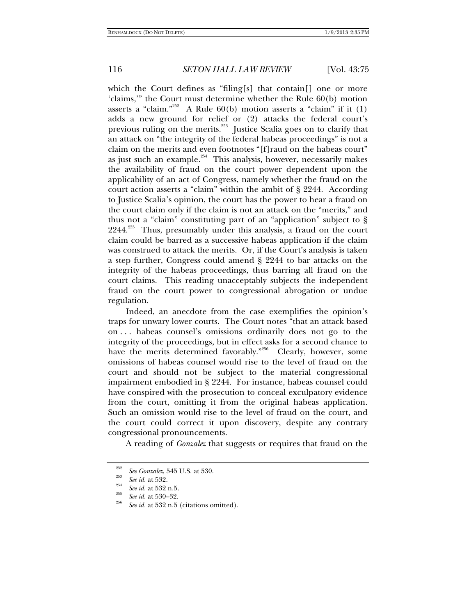which the Court defines as "filing[s] that contain[] one or more 'claims,'" the Court must determine whether the Rule 60(b) motion asserts a "claim."<sup>252</sup> A Rule  $60(b)$  motion asserts a "claim" if it (1) adds a new ground for relief or (2) attacks the federal court's previous ruling on the merits.<sup>253</sup> Justice Scalia goes on to clarify that an attack on "the integrity of the federal habeas proceedings" is not a claim on the merits and even footnotes "[f]raud on the habeas court" as just such an example. $254$  This analysis, however, necessarily makes the availability of fraud on the court power dependent upon the applicability of an act of Congress, namely whether the fraud on the court action asserts a "claim" within the ambit of § 2244. According to Justice Scalia's opinion, the court has the power to hear a fraud on the court claim only if the claim is not an attack on the "merits," and thus not a "claim" constituting part of an "application" subject to §  $2244^{255}$  Thus, presumably under this analysis, a fraud on the court claim could be barred as a successive habeas application if the claim was construed to attack the merits. Or, if the Court's analysis is taken a step further, Congress could amend § 2244 to bar attacks on the integrity of the habeas proceedings, thus barring all fraud on the court claims. This reading unacceptably subjects the independent fraud on the court power to congressional abrogation or undue regulation.

Indeed, an anecdote from the case exemplifies the opinion's traps for unwary lower courts. The Court notes "that an attack based on . . . habeas counsel's omissions ordinarily does not go to the integrity of the proceedings, but in effect asks for a second chance to have the merits determined favorably."<sup>256</sup> Clearly, however, some omissions of habeas counsel would rise to the level of fraud on the court and should not be subject to the material congressional impairment embodied in § 2244. For instance, habeas counsel could have conspired with the prosecution to conceal exculpatory evidence from the court, omitting it from the original habeas application. Such an omission would rise to the level of fraud on the court, and the court could correct it upon discovery, despite any contrary congressional pronouncements.

A reading of *Gonzalez* that suggests or requires that fraud on the

<sup>&</sup>lt;sup>252</sup> *See Gonzalez*, 545 U.S. at 530.<br><sup>253</sup> *See id.* at 532.<br><sup>254</sup> *See id.* at 532 n.5.

<sup>&</sup>lt;sup>255</sup> *See id.* at 530–32.

*See id.* at 532 n.5 (citations omitted).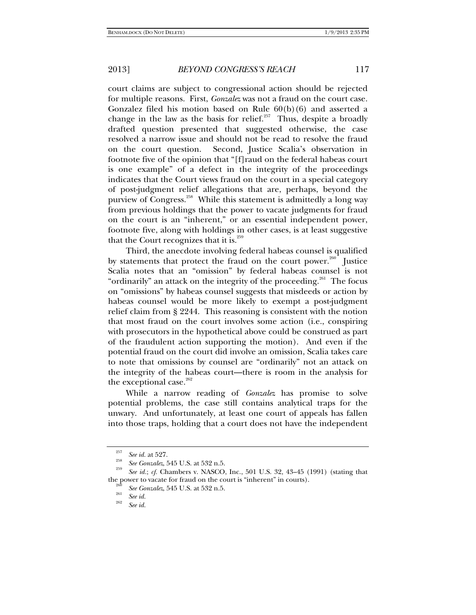court claims are subject to congressional action should be rejected for multiple reasons. First, *Gonzalez* was not a fraud on the court case. Gonzalez filed his motion based on Rule  $60(b)(6)$  and asserted a change in the law as the basis for relief. $257$  Thus, despite a broadly drafted question presented that suggested otherwise, the case resolved a narrow issue and should not be read to resolve the fraud on the court question. Second, Justice Scalia's observation in footnote five of the opinion that "[f]raud on the federal habeas court is one example" of a defect in the integrity of the proceedings indicates that the Court views fraud on the court in a special category of post-judgment relief allegations that are, perhaps, beyond the purview of Congress.<sup>258</sup> While this statement is admittedly a long way from previous holdings that the power to vacate judgments for fraud on the court is an "inherent," or an essential independent power, footnote five, along with holdings in other cases, is at least suggestive that the Court recognizes that it is. $259$ 

Third, the anecdote involving federal habeas counsel is qualified by statements that protect the fraud on the court power.<sup>260</sup> Justice Scalia notes that an "omission" by federal habeas counsel is not "ordinarily" an attack on the integrity of the proceeding. $^{261}$  The focus on "omissions" by habeas counsel suggests that misdeeds or action by habeas counsel would be more likely to exempt a post-judgment relief claim from § 2244. This reasoning is consistent with the notion that most fraud on the court involves some action (i.e., conspiring with prosecutors in the hypothetical above could be construed as part of the fraudulent action supporting the motion). And even if the potential fraud on the court did involve an omission, Scalia takes care to note that omissions by counsel are "ordinarily" not an attack on the integrity of the habeas court—there is room in the analysis for the exceptional case. $262$ 

While a narrow reading of *Gonzalez* has promise to solve potential problems, the case still contains analytical traps for the unwary. And unfortunately, at least one court of appeals has fallen into those traps, holding that a court does not have the independent

<sup>&</sup>lt;sup>257</sup> *See id.* at 527.

<sup>&</sup>lt;sup>258</sup> *See Gonzalez*, 545 U.S. at 532 n.5.

*See id.*; *cf.* Chambers v. NASCO, Inc., 501 U.S. 32, 43–45 (1991) (stating that the power to vacate for fraud on the court is "inherent" in courts).

<sup>&</sup>lt;sup>260</sup> *See Gonzalez*, 545 U.S. at 532 n.5.<br><sup>261</sup> *See id.* 262

*See id.*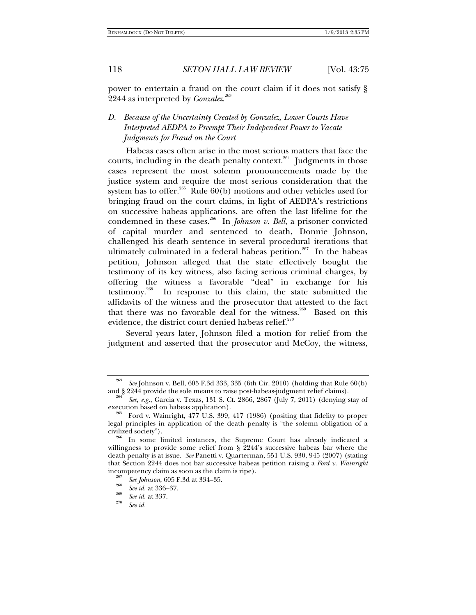power to entertain a fraud on the court claim if it does not satisfy § 2244 as interpreted by *Gonzalez*. 263

# *D. Because of the Uncertainty Created by Gonzalez, Lower Courts Have Interpreted AEDPA to Preempt Their Independent Power to Vacate Judgments for Fraud on the Court*

Habeas cases often arise in the most serious matters that face the courts, including in the death penalty context.<sup>264</sup> Judgments in those cases represent the most solemn pronouncements made by the justice system and require the most serious consideration that the system has to offer.<sup>265</sup> Rule 60(b) motions and other vehicles used for bringing fraud on the court claims, in light of AEDPA's restrictions on successive habeas applications, are often the last lifeline for the condemned in these cases.<sup>266</sup> In *Johnson v. Bell*, a prisoner convicted of capital murder and sentenced to death, Donnie Johnson, challenged his death sentence in several procedural iterations that ultimately culminated in a federal habeas petition.<sup>267</sup> In the habeas petition, Johnson alleged that the state effectively bought the testimony of its key witness, also facing serious criminal charges, by offering the witness a favorable "deal" in exchange for his testimony.268 In response to this claim, the state submitted the affidavits of the witness and the prosecutor that attested to the fact that there was no favorable deal for the witness.<sup>269</sup> Based on this evidence, the district court denied habeas relief.<sup>270</sup>

Several years later, Johnson filed a motion for relief from the judgment and asserted that the prosecutor and McCoy, the witness,

<sup>263</sup> *See* Johnson v. Bell, 605 F.3d 333, 335 (6th Cir. 2010) (holding that Rule 60(b) and § 2244 provide the sole means to raise post-habeas-judgment relief claims). 264 *See, e.g.*, Garcia v. Texas, 131 S. Ct. 2866, 2867 (July 7, 2011) (denying stay of

execution based on habeas application).<br><sup>265</sup> Ford v. Wainright, 477 U.S. 399, 417 (1986) (positing that fidelity to proper

legal principles in application of the death penalty is "the solemn obligation of a civilized society"). 266 In some limited instances, the Supreme Court has already indicated a

willingness to provide some relief from § 2244's successive habeas bar where the death penalty is at issue. *See* Panetti v. Quarterman, 551 U.S. 930, 945 (2007) (stating that Section 2244 does not bar successive habeas petition raising a *Ford v. Wainright* incompetency claim as soon as the claim is ripe).<br><sup>267</sup> *See Johnson*, 605 F.3d at 334–35.<br><sup>268</sup> *See id.* at 336–37.

<sup>&</sup>lt;sup>269</sup> *See id.* at 337.

*See id.*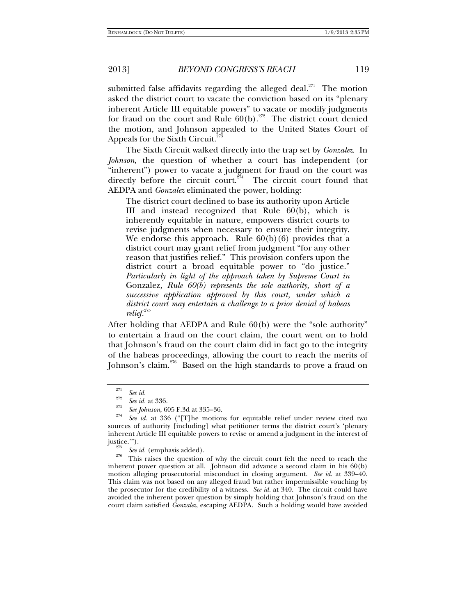submitted false affidavits regarding the alleged deal.<sup>271</sup> The motion asked the district court to vacate the conviction based on its "plenary inherent Article III equitable powers" to vacate or modify judgments for fraud on the court and Rule  $60(b)$ .<sup>272</sup> The district court denied the motion, and Johnson appealed to the United States Court of Appeals for the Sixth Circuit.<sup>2</sup>

The Sixth Circuit walked directly into the trap set by *Gonzalez*. In *Johnson*, the question of whether a court has independent (or "inherent") power to vacate a judgment for fraud on the court was directly before the circuit court.<sup>274</sup> The circuit court found that AEDPA and *Gonzalez* eliminated the power, holding:

The district court declined to base its authority upon Article III and instead recognized that Rule 60(b), which is inherently equitable in nature, empowers district courts to revise judgments when necessary to ensure their integrity. We endorse this approach. Rule  $60(b)(6)$  provides that a district court may grant relief from judgment "for any other reason that justifies relief." This provision confers upon the district court a broad equitable power to "do justice." *Particularly in light of the approach taken by Supreme Court in*  Gonzalez*, Rule 60(b) represents the sole authority, short of a successive application approved by this court, under which a district court may entertain a challenge to a prior denial of habeas relief.*<sup>275</sup>

After holding that AEDPA and Rule 60(b) were the "sole authority" to entertain a fraud on the court claim, the court went on to hold that Johnson's fraud on the court claim did in fact go to the integrity of the habeas proceedings, allowing the court to reach the merits of Johnson's claim.<sup>276</sup> Based on the high standards to prove a fraud on

 $\int_{272}^{271}$  *See id.* 

<sup>&</sup>lt;sup>272</sup> *See id.* at 336.

<sup>&</sup>lt;sup>273</sup> *See Johnson*, 605 F.3d at 335–36.

*See id.* at 336 ("[T]he motions for equitable relief under review cited two sources of authority [including] what petitioner terms the district court's 'plenary inherent Article III equitable powers to revise or amend a judgment in the interest of justice.'"). 275 *See id.* (emphasis added). 276 This raises the question of why the circuit court felt the need to reach the

inherent power question at all. Johnson did advance a second claim in his 60(b) motion alleging prosecutorial misconduct in closing argument. *See id.* at 339–40. This claim was not based on any alleged fraud but rather impermissible vouching by the prosecutor for the credibility of a witness. *See id.* at 340. The circuit could have avoided the inherent power question by simply holding that Johnson's fraud on the court claim satisfied *Gonzalez*, escaping AEDPA. Such a holding would have avoided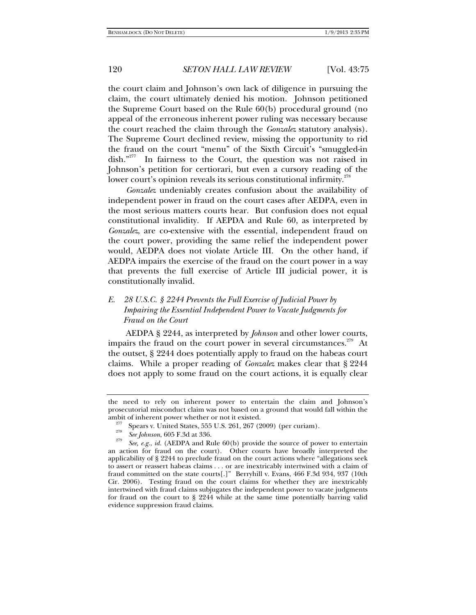the court claim and Johnson's own lack of diligence in pursuing the claim, the court ultimately denied his motion. Johnson petitioned the Supreme Court based on the Rule 60(b) procedural ground (no appeal of the erroneous inherent power ruling was necessary because the court reached the claim through the *Gonzalez* statutory analysis). The Supreme Court declined review, missing the opportunity to rid the fraud on the court "menu" of the Sixth Circuit's "smuggled-in dish."<sup>277</sup> In fairness to the Court, the question was not raised in Johnson's petition for certiorari, but even a cursory reading of the lower court's opinion reveals its serious constitutional infirmity.<sup>27</sup>

*Gonzalez* undeniably creates confusion about the availability of independent power in fraud on the court cases after AEDPA, even in the most serious matters courts hear. But confusion does not equal constitutional invalidity. If AEPDA and Rule 60, as interpreted by *Gonzalez*, are co-extensive with the essential, independent fraud on the court power, providing the same relief the independent power would, AEDPA does not violate Article III. On the other hand, if AEDPA impairs the exercise of the fraud on the court power in a way that prevents the full exercise of Article III judicial power, it is constitutionally invalid.

# *E. 28 U.S.C. § 2244 Prevents the Full Exercise of Judicial Power by Impairing the Essential Independent Power to Vacate Judgments for Fraud on the Court*

AEDPA § 2244, as interpreted by *Johnson* and other lower courts, impairs the fraud on the court power in several circumstances.<sup>279</sup> At the outset, § 2244 does potentially apply to fraud on the habeas court claims. While a proper reading of *Gonzalez* makes clear that § 2244 does not apply to some fraud on the court actions, it is equally clear

the need to rely on inherent power to entertain the claim and Johnson's prosecutorial misconduct claim was not based on a ground that would fall within the

ambit of inherent power whether or not it existed.<br><sup>277</sup> Spears v. United States, 555 U.S. 261, 267 (2009) (per curiam).<br><sup>278</sup> See Johnson, 605 F.3d at 336.

<sup>&</sup>lt;sup>279</sup> *See, e.g., id.* (AEDPA and Rule 60(b) provide the source of power to entertain an action for fraud on the court). Other courts have broadly interpreted the applicability of § 2244 to preclude fraud on the court actions where "allegations seek to assert or reassert habeas claims . . . or are inextricably intertwined with a claim of fraud committed on the state courts[.]" Berryhill v. Evans, 466 F.3d 934, 937 (10th Cir. 2006). Testing fraud on the court claims for whether they are inextricably intertwined with fraud claims subjugates the independent power to vacate judgments for fraud on the court to § 2244 while at the same time potentially barring valid evidence suppression fraud claims.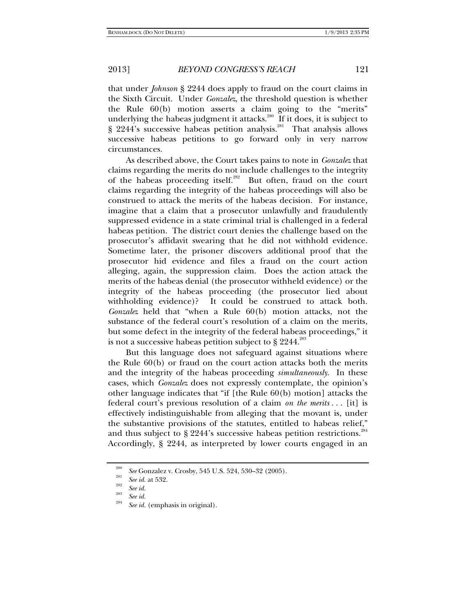that under *Johnson* § 2244 does apply to fraud on the court claims in the Sixth Circuit. Under *Gonzalez*, the threshold question is whether the Rule 60(b) motion asserts a claim going to the "merits" underlying the habeas judgment it attacks.<sup>280</sup> If it does, it is subject to § 2244's successive habeas petition analysis.<sup>281</sup> That analysis allows successive habeas petitions to go forward only in very narrow circumstances.

As described above, the Court takes pains to note in *Gonzalez* that claims regarding the merits do not include challenges to the integrity of the habeas proceeding itself.<sup>282</sup> But often, fraud on the court claims regarding the integrity of the habeas proceedings will also be construed to attack the merits of the habeas decision. For instance, imagine that a claim that a prosecutor unlawfully and fraudulently suppressed evidence in a state criminal trial is challenged in a federal habeas petition. The district court denies the challenge based on the prosecutor's affidavit swearing that he did not withhold evidence. Sometime later, the prisoner discovers additional proof that the prosecutor hid evidence and files a fraud on the court action alleging, again, the suppression claim. Does the action attack the merits of the habeas denial (the prosecutor withheld evidence) or the integrity of the habeas proceeding (the prosecutor lied about withholding evidence)? It could be construed to attack both. *Gonzalez* held that "when a Rule 60(b) motion attacks, not the substance of the federal court's resolution of a claim on the merits, but some defect in the integrity of the federal habeas proceedings," it is not a successive habeas petition subject to  $\S 2244$ .<sup>283</sup>

But this language does not safeguard against situations where the Rule 60(b) or fraud on the court action attacks both the merits and the integrity of the habeas proceeding *simultaneously*. In these cases, which *Gonzalez* does not expressly contemplate, the opinion's other language indicates that "if [the Rule 60(b) motion] attacks the federal court's previous resolution of a claim *on the merits* . . . [it] is effectively indistinguishable from alleging that the movant is, under the substantive provisions of the statutes, entitled to habeas relief," and thus subject to § 2244's successive habeas petition restrictions.<sup>284</sup> Accordingly, § 2244, as interpreted by lower courts engaged in an

<sup>&</sup>lt;sup>280</sup> See Gonzalez v. Crosby, 545 U.S. 524, 530–32 (2005).<br><sup>281</sup> See id. at 532.<br>*See id.* 

<sup>&</sup>lt;sup>283</sup> *See id.* 

*See id.* (emphasis in original).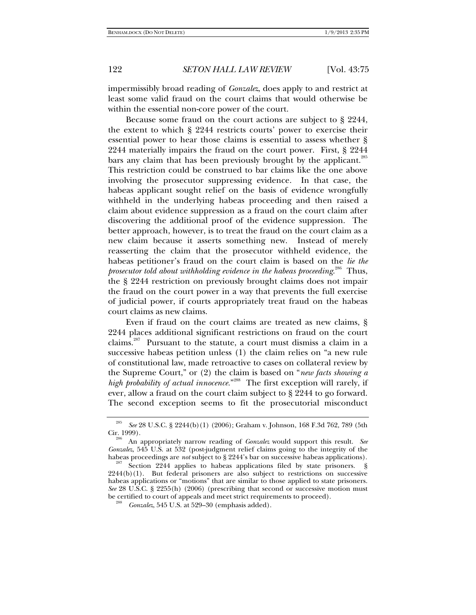impermissibly broad reading of *Gonzalez*, does apply to and restrict at least some valid fraud on the court claims that would otherwise be within the essential non-core power of the court.

Because some fraud on the court actions are subject to § 2244, the extent to which § 2244 restricts courts' power to exercise their essential power to hear those claims is essential to assess whether § 2244 materially impairs the fraud on the court power. First, § 2244 bars any claim that has been previously brought by the applicant.<sup>285</sup> This restriction could be construed to bar claims like the one above involving the prosecutor suppressing evidence. In that case, the habeas applicant sought relief on the basis of evidence wrongfully withheld in the underlying habeas proceeding and then raised a claim about evidence suppression as a fraud on the court claim after discovering the additional proof of the evidence suppression. The better approach, however, is to treat the fraud on the court claim as a new claim because it asserts something new. Instead of merely reasserting the claim that the prosecutor withheld evidence, the habeas petitioner's fraud on the court claim is based on the *lie the prosecutor told about withholding evidence in the habeas proceeding*. 286 Thus, the § 2244 restriction on previously brought claims does not impair the fraud on the court power in a way that prevents the full exercise of judicial power, if courts appropriately treat fraud on the habeas court claims as new claims.

Even if fraud on the court claims are treated as new claims, § 2244 places additional significant restrictions on fraud on the court claims.<sup>287</sup> Pursuant to the statute, a court must dismiss a claim in a successive habeas petition unless (1) the claim relies on "a new rule of constitutional law, made retroactive to cases on collateral review by the Supreme Court," or (2) the claim is based on "*new facts showing a*  high probability of actual innocence."<sup>288</sup> The first exception will rarely, if ever, allow a fraud on the court claim subject to § 2244 to go forward. The second exception seems to fit the prosecutorial misconduct

<sup>285</sup> <sup>285</sup> See 28 U.S.C. § 2244(b)(1) (2006); Graham v. Johnson, 168 F.3d 762, 789 (5th Cir. 1999).

An appropriately narrow reading of *Gonzalez* would support this result. See *Gonzalez*, 545 U.S. at 532 (post-judgment relief claims going to the integrity of the habeas proceedings are *not* subject to § 2244's bar on successive habeas applications).

<sup>&</sup>lt;sup>287</sup> Section 2244 applies to habeas applications filed by state prisoners. § 2244(b)(1). But federal prisoners are also subject to restrictions on successive habeas applications or "motions" that are similar to those applied to state prisoners. *See* 28 U.S.C. § 2255(h) (2006) (prescribing that second or successive motion must be certified to court of appeals and meet strict requirements to proceed).

*Gonzalez*, 545 U.S. at 529–30 (emphasis added).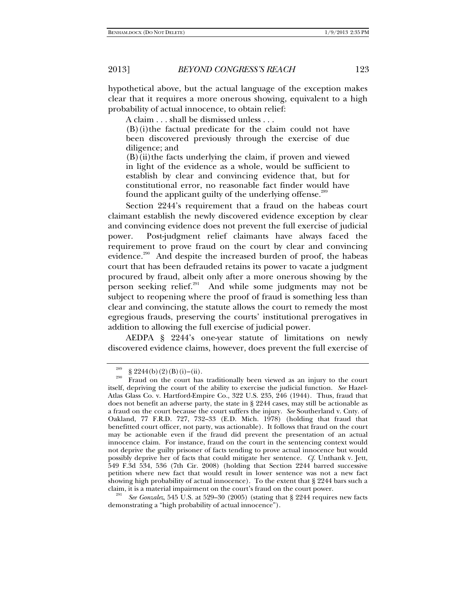hypothetical above, but the actual language of the exception makes clear that it requires a more onerous showing, equivalent to a high probability of actual innocence, to obtain relief:

A claim . . . shall be dismissed unless . . .

(B)(i) the factual predicate for the claim could not have been discovered previously through the exercise of due diligence; and

 $(B)$ (ii)the facts underlying the claim, if proven and viewed in light of the evidence as a whole, would be sufficient to establish by clear and convincing evidence that, but for constitutional error, no reasonable fact finder would have found the applicant guilty of the underlying offense.<sup>289</sup>

Section 2244's requirement that a fraud on the habeas court claimant establish the newly discovered evidence exception by clear and convincing evidence does not prevent the full exercise of judicial power. Post-judgment relief claimants have always faced the requirement to prove fraud on the court by clear and convincing evidence.<sup>290</sup> And despite the increased burden of proof, the habeas court that has been defrauded retains its power to vacate a judgment procured by fraud, albeit only after a more onerous showing by the person seeking relief.<sup>291</sup> And while some judgments may not be subject to reopening where the proof of fraud is something less than clear and convincing, the statute allows the court to remedy the most egregious frauds, preserving the courts' institutional prerogatives in addition to allowing the full exercise of judicial power.

AEDPA § 2244's one-year statute of limitations on newly discovered evidence claims, however, does prevent the full exercise of

See Gonzalez, 545 U.S. at 529–30 (2005) (stating that § 2244 requires new facts demonstrating a "high probability of actual innocence").

<sup>&</sup>lt;sup>289</sup> § 2244(b)(2)(B)(i)–(ii). <sup>289</sup> Fraud on the court has traditionally been viewed as an injury to the court itself, depriving the court of the ability to exercise the judicial function. *See* Hazel-Atlas Glass Co. v. Hartford-Empire Co., 322 U.S. 235, 246 (1944). Thus, fraud that does not benefit an adverse party, the state in § 2244 cases, may still be actionable as a fraud on the court because the court suffers the injury. *See* Southerland v. Cnty. of Oakland, 77 F.R.D. 727, 732–33 (E.D. Mich. 1978) (holding that fraud that benefitted court officer, not party, was actionable). It follows that fraud on the court may be actionable even if the fraud did prevent the presentation of an actual innocence claim. For instance, fraud on the court in the sentencing context would not deprive the guilty prisoner of facts tending to prove actual innocence but would possibly deprive her of facts that could mitigate her sentence. *Cf.* Unthank v. Jett, 549 F.3d 534, 536 (7th Cir. 2008) (holding that Section 2244 barred successive petition where new fact that would result in lower sentence was not a new fact showing high probability of actual innocence). To the extent that § 2244 bars such a claim, it is a material impairment on the court's fraud on the court power.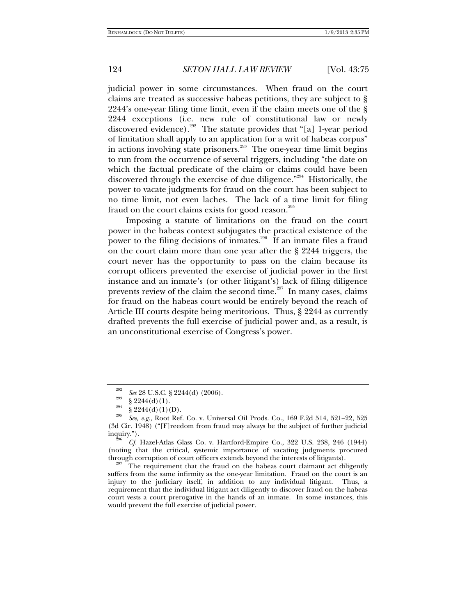judicial power in some circumstances. When fraud on the court claims are treated as successive habeas petitions, they are subject to § 2244's one-year filing time limit, even if the claim meets one of the § 2244 exceptions (i.e. new rule of constitutional law or newly discovered evidence).<sup>292</sup> The statute provides that "[a] 1-year period of limitation shall apply to an application for a writ of habeas corpus" in actions involving state prisoners.<sup>293</sup> The one-year time limit begins to run from the occurrence of several triggers, including "the date on which the factual predicate of the claim or claims could have been discovered through the exercise of due diligence."294 Historically, the power to vacate judgments for fraud on the court has been subject to no time limit, not even laches. The lack of a time limit for filing fraud on the court claims exists for good reason.<sup>295</sup>

Imposing a statute of limitations on the fraud on the court power in the habeas context subjugates the practical existence of the power to the filing decisions of inmates.<sup>296</sup> If an inmate files a fraud on the court claim more than one year after the § 2244 triggers, the court never has the opportunity to pass on the claim because its corrupt officers prevented the exercise of judicial power in the first instance and an inmate's (or other litigant's) lack of filing diligence prevents review of the claim the second time.<sup>297</sup> In many cases, claims for fraud on the habeas court would be entirely beyond the reach of Article III courts despite being meritorious. Thus, § 2244 as currently drafted prevents the full exercise of judicial power and, as a result, is an unconstitutional exercise of Congress's power.

<sup>&</sup>lt;sup>292</sup> *See* 28 U.S.C. § 2244(d) (2006).<br>
§ 2244(d)(1).<br>
§ 2244(d)(1)(D).

*See, e.g.*, Root Ref. Co. v. Universal Oil Prods. Co., 169 F.2d 514, 521–22, 525 (3d Cir. 1948) ("[F]reedom from fraud may always be the subject of further judicial

inquiry."). 296 *Cf.* Hazel-Atlas Glass Co. v. Hartford-Empire Co., 322 U.S. 238, 246 (1944) (noting that the critical, systemic importance of vacating judgments procured through corruption of court officers extends beyond the interests of litigants).

The requirement that the fraud on the habeas court claimant act diligently suffers from the same infirmity as the one-year limitation. Fraud on the court is an injury to the judiciary itself, in addition to any individual litigant. Thus, a requirement that the individual litigant act diligently to discover fraud on the habeas court vests a court prerogative in the hands of an inmate. In some instances, this would prevent the full exercise of judicial power.